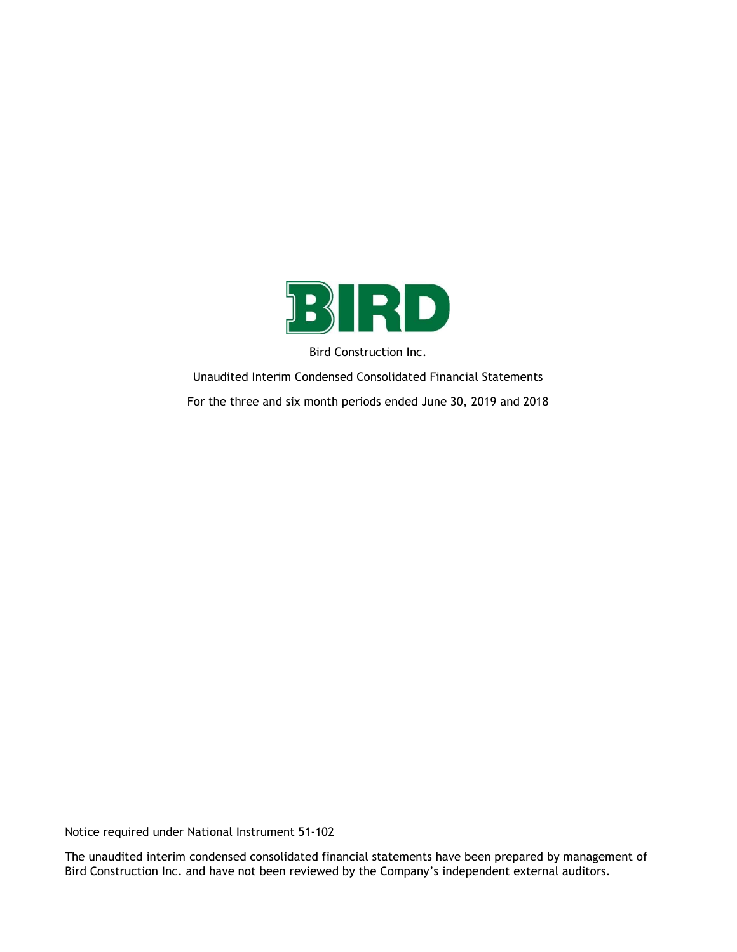

Bird Construction Inc.

Unaudited Interim Condensed Consolidated Financial Statements For the three and six month periods ended June 30, 2019 and 2018

Notice required under National Instrument 51-102

The unaudited interim condensed consolidated financial statements have been prepared by management of Bird Construction Inc. and have not been reviewed by the Company's independent external auditors.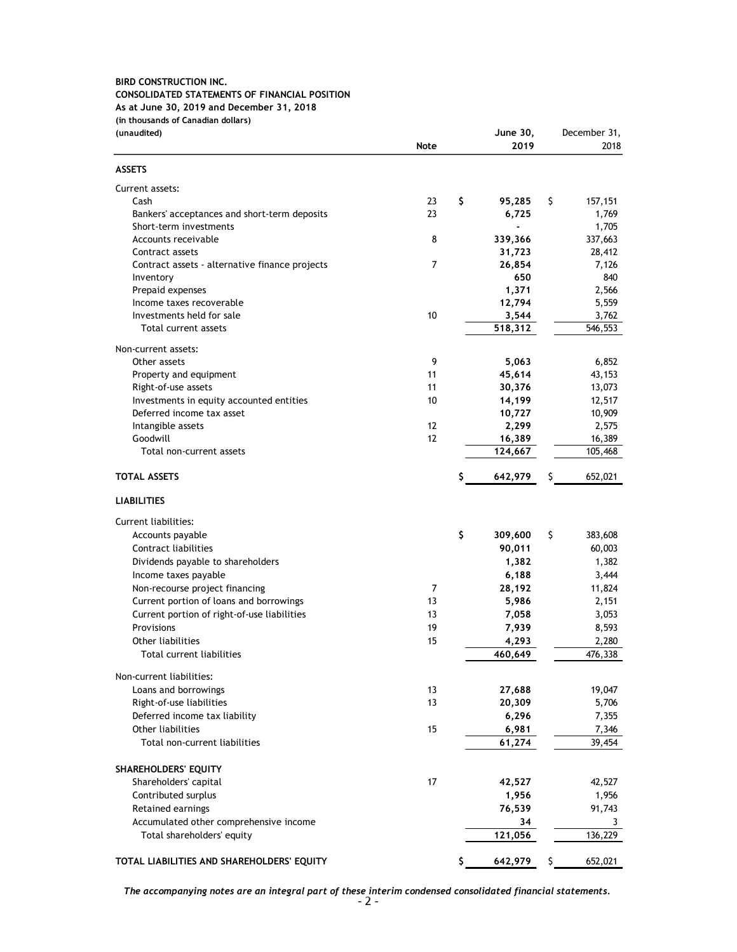### BIRD CONSTRUCTION INC. CONSOLIDATED STATEMENTS OF FINANCIAL POSITION As at June 30, 2019 and December 31, 2018 (in thousands of Canadian dollars)

| <b>BIRD CONSTRUCTION INC.</b><br>CONSOLIDATED STATEMENTS OF FINANCIAL POSITION |                |                          |                   |
|--------------------------------------------------------------------------------|----------------|--------------------------|-------------------|
| As at June 30, 2019 and December 31, 2018                                      |                |                          |                   |
| (in thousands of Canadian dollars)                                             |                |                          | December 31,      |
| (unaudited)                                                                    | <b>Note</b>    | June 30,<br>2019         | 2018              |
|                                                                                |                |                          |                   |
| <b>ASSETS</b>                                                                  |                |                          |                   |
| Current assets:<br>Cash                                                        | S.<br>23       | 95,285                   | - \$<br>157,151   |
| Bankers' acceptances and short-term deposits                                   | 23             | 6,725                    | 1,769             |
| Short-term investments                                                         |                | $\overline{\phantom{0}}$ | 1,705             |
| Accounts receivable<br>Contract assets                                         | 8              | 339,366<br>31,723        | 337,663<br>28,412 |
| Contract assets - alternative finance projects                                 | 7              | 26,854                   | 7,126             |
| Inventory                                                                      |                | 650                      | 840               |
| Prepaid expenses<br>Income taxes recoverable                                   |                | 1,371<br>12,794          | 2,566<br>5,559    |
| Investments held for sale                                                      | 10             | 3,544                    | 3,762             |
| Total current assets                                                           |                | 518,312                  | 546,553           |
| Non-current assets:                                                            |                |                          |                   |
| Other assets<br>Property and equipment                                         | 9<br>11        | 5,063<br>45,614          | 6,852<br>43,153   |
| Right-of-use assets                                                            | 11             | 30,376                   | 13,073            |
| Investments in equity accounted entities                                       | $10$           | 14,199                   | 12,517            |
| Deferred income tax asset<br>Intangible assets                                 | $12$           | 10,727<br>2,299          | 10,909<br>2,575   |
| Goodwill                                                                       | 12             | 16,389                   | 16,389            |
| Total non-current assets                                                       |                | 124,667                  | 105,468           |
| <b>TOTAL ASSETS</b>                                                            | S              | 642,979                  | 652,021<br>S.     |
| <b>LIABILITIES</b>                                                             |                |                          |                   |
|                                                                                |                |                          |                   |
| Current liabilities:<br>Accounts payable                                       | \$             | 309,600                  | -\$<br>383,608    |
| Contract liabilities                                                           |                | 90,011                   | 60,003            |
| Dividends payable to shareholders                                              |                | 1,382                    | 1,382             |
| Income taxes payable                                                           | $\overline{7}$ | 6,188<br>28,192          | 3,444<br>11,824   |
| Non-recourse project financing<br>Current portion of loans and borrowings      | 13             | 5,986                    | 2,151             |
| Current portion of right-of-use liabilities                                    | 13             | 7,058                    | 3,053             |
| Provisions                                                                     | 19             | 7,939                    | 8,593             |
| Other liabilities<br>Total current liabilities                                 | 15             | 4,293<br>460,649         | 2,280<br>476,338  |
|                                                                                |                |                          |                   |
| Non-current liabilities:<br>Loans and borrowings                               | 13             | 27,688                   | 19,047            |
| Right-of-use liabilities                                                       | 13             | 20,309                   | 5,706             |
| Deferred income tax liability                                                  |                | 6,296                    | 7,355             |
| Other liabilities<br>Total non-current liabilities                             | 15             | 6,981<br>61,274          | 7,346<br>39,454   |
|                                                                                |                |                          |                   |
| SHAREHOLDERS' EQUITY                                                           |                |                          |                   |
| Shareholders' capital<br>Contributed surplus                                   | 17             | 42,527<br>1,956          | 42,527<br>1,956   |
| Retained earnings                                                              |                | 76,539                   | 91,743            |
| Accumulated other comprehensive income                                         |                | 34                       | 3                 |
| Total shareholders' equity                                                     |                | 121,056                  | 136,229           |
| TOTAL LIABILITIES AND SHAREHOLDERS' EQUITY                                     |                | 642,979<br>S             | 652,021           |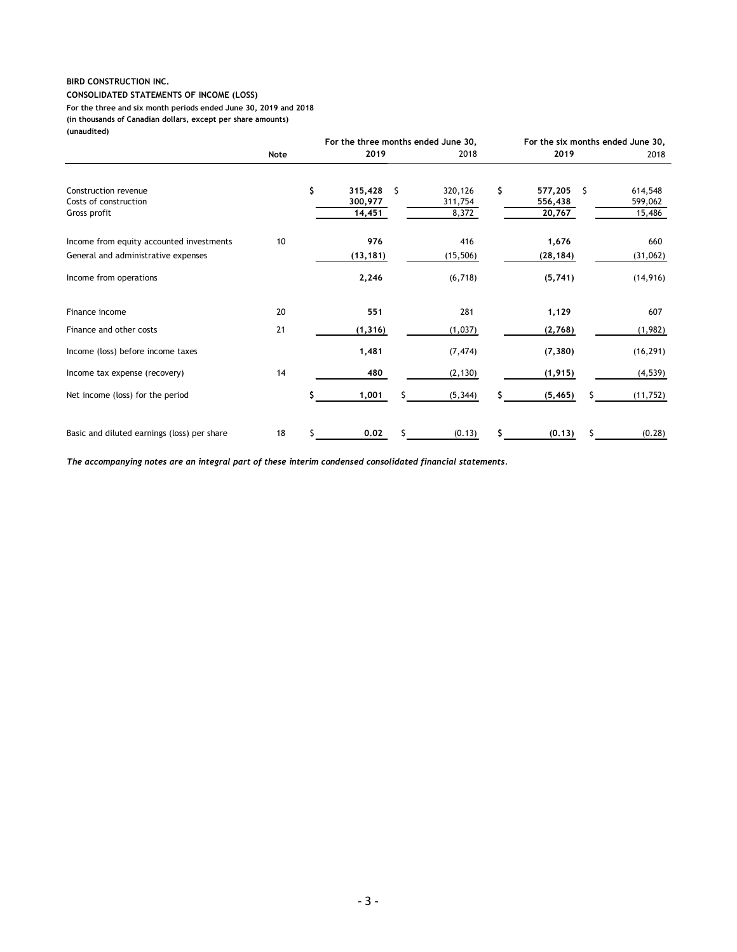#### CONSOLIDATED STATEMENTS OF INCOME (LOSS) (in thousands of Canadian dollars, except per share amounts) (unaudited) For the three and six month periods ended June 30, 2019 and 2018

| <b>BIRD CONSTRUCTION INC.</b>                                                                                                    |      |   |                                             |                  |                                           |                   |
|----------------------------------------------------------------------------------------------------------------------------------|------|---|---------------------------------------------|------------------|-------------------------------------------|-------------------|
| <b>CONSOLIDATED STATEMENTS OF INCOME (LOSS)</b>                                                                                  |      |   |                                             |                  |                                           |                   |
| For the three and six month periods ended June 30, 2019 and 2018<br>(in thousands of Canadian dollars, except per share amounts) |      |   |                                             |                  |                                           |                   |
| (unaudited)                                                                                                                      |      |   |                                             |                  |                                           |                   |
|                                                                                                                                  | Note |   | For the three months ended June 30,<br>2019 | 2018             | For the six months ended June 30,<br>2019 | 2018              |
|                                                                                                                                  |      |   |                                             |                  |                                           |                   |
| Construction revenue                                                                                                             |      | S | $315,428$ \$                                | 320,126          | \$<br>577,205 \$                          | 614,548           |
| Costs of construction<br>Gross profit                                                                                            |      |   | 300,977<br>14,451                           | 311,754<br>8,372 | 556,438<br>20,767                         | 599,062<br>15,486 |
|                                                                                                                                  |      |   |                                             |                  |                                           |                   |
| Income from equity accounted investments                                                                                         | 10   |   | 976                                         | 416              | 1,676                                     | 660               |
| General and administrative expenses                                                                                              |      |   | (13, 181)                                   | (15, 506)        | (28, 184)                                 | (31,062)          |
| Income from operations                                                                                                           |      |   | 2,246                                       | (6, 718)         | (5,741)                                   | (14, 916)         |
|                                                                                                                                  |      |   | 551                                         | 281              | 1,129                                     | 607               |
| Finance income                                                                                                                   | 20   |   |                                             |                  | (2,768)                                   | (1,982)           |
| Finance and other costs                                                                                                          | 21   |   | (1, 316)                                    | (1,037)          |                                           |                   |
| Income (loss) before income taxes                                                                                                |      |   | 1,481                                       | (7, 474)         | (7, 380)                                  | (16, 291)         |
| Income tax expense (recovery)                                                                                                    | 14   |   | 480                                         | (2, 130)         | (1, 915)                                  | (4, 539)          |
| Net income (loss) for the period                                                                                                 |      |   | 1,001<br>s                                  | (5, 344)         | (5, 465)<br>s                             | (11, 752)         |
| Basic and diluted earnings (loss) per share                                                                                      | 18   |   | 0.02<br>-\$                                 | (0.13)           | \$<br>(0.13)<br>-Ş                        | (0.28)            |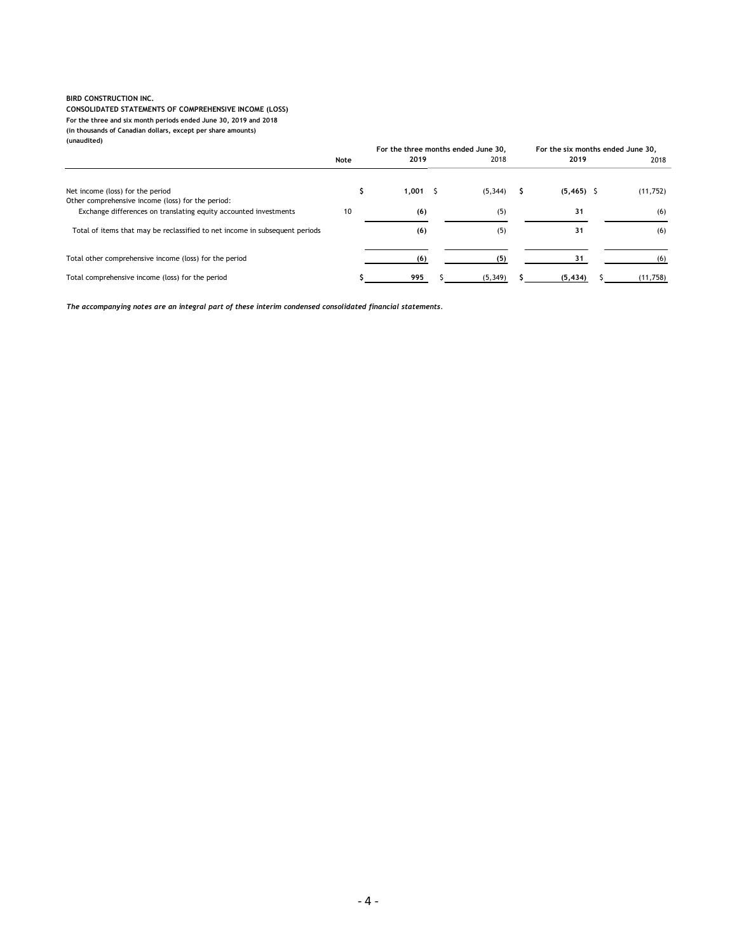### CONSOLIDATED STATEMENTS OF COMPREHENSIVE INCOME (LOSS)

| <b>BIRD CONSTRUCTION INC.</b><br>CONSOLIDATED STATEMENTS OF COMPREHENSIVE INCOME (LOSS)                                          |      |                                     |                 |                                   |                  |
|----------------------------------------------------------------------------------------------------------------------------------|------|-------------------------------------|-----------------|-----------------------------------|------------------|
| For the three and six month periods ended June 30, 2019 and 2018<br>(in thousands of Canadian dollars, except per share amounts) |      |                                     |                 |                                   |                  |
| (unaudited)                                                                                                                      |      |                                     |                 |                                   |                  |
|                                                                                                                                  |      | For the three months ended June 30, |                 | For the six months ended June 30, |                  |
|                                                                                                                                  | Note | 2019                                | 2018            | 2019                              |                  |
|                                                                                                                                  |      |                                     |                 |                                   | 2018             |
| Net income (loss) for the period                                                                                                 | S.   | $1,001$ \$                          | $(5,344)$ \$    | $(5, 465)$ \$                     | (11, 752)        |
| Other comprehensive income (loss) for the period:<br>Exchange differences on translating equity accounted investments            | 10   | (6)                                 | (5)             | 31                                | (6)              |
| Total of items that may be reclassified to net income in subsequent periods                                                      |      | (6)                                 | (5)             | 31                                | (6)              |
|                                                                                                                                  |      |                                     |                 |                                   |                  |
| Total other comprehensive income (loss) for the period<br>Total comprehensive income (loss) for the period                       |      | (6)<br>995<br>-5                    | (5)<br>(5, 349) | 31<br>(5, 434)<br>S               | (6)<br>(11, 758) |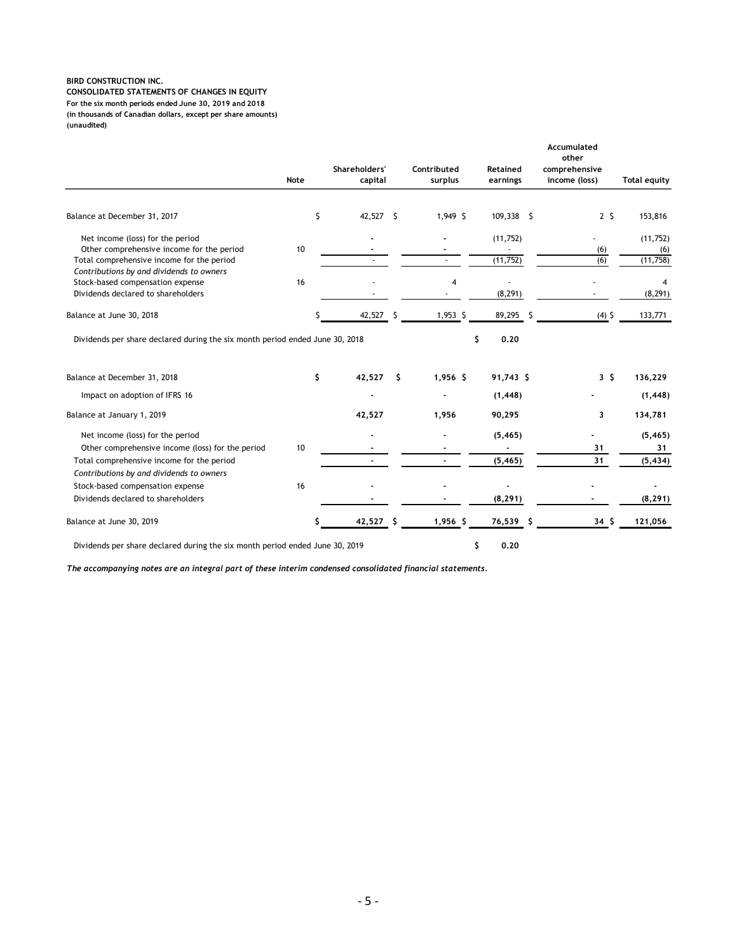| BIRD CONSTRUCTION INC.<br>CONSOLIDATED STATEMENTS OF CHANGES IN EQUITY<br>For the six month periods ended June 30, 2019 and 2018 |      |                          |                          |                          |                          |                            |
|----------------------------------------------------------------------------------------------------------------------------------|------|--------------------------|--------------------------|--------------------------|--------------------------|----------------------------|
| (in thousands of Canadian dollars, except per share amounts)<br>(unaudited)                                                      |      |                          |                          |                          |                          |                            |
|                                                                                                                                  |      |                          |                          |                          |                          |                            |
|                                                                                                                                  |      |                          |                          |                          | Accumulated<br>other     |                            |
|                                                                                                                                  |      | Shareholders'            | Contributed              | Retained                 | comprehensive            |                            |
|                                                                                                                                  | Note | capital                  | surplus                  | earnings                 | income (loss)            | <b>Total equity</b>        |
|                                                                                                                                  |      |                          |                          |                          |                          |                            |
| Balance at December 31, 2017                                                                                                     |      | \$<br>42,527 \$          | 1,949 \$                 | $109,338$ \$             | 2 <sup>5</sup>           | 153,816                    |
| Net income (loss) for the period                                                                                                 |      |                          | $\blacksquare$           | (11, 752)                | $\sim$                   | (11,752)                   |
| Other comprehensive income for the period<br>Total comprehensive income for the period                                           | 10   | $\sim$                   | $\sim$                   | $\sim$<br>(11, 752)      | (6)<br>(6)               | (6)<br>(11,758)            |
| Contributions by and dividends to owners                                                                                         |      |                          |                          |                          |                          |                            |
| Stock-based compensation expense<br>Dividends declared to shareholders                                                           | 16   | $\sim$                   | $\overline{4}$<br>$\sim$ | $\bullet$<br>(8, 291)    | $\sim$                   | $\overline{4}$<br>(8, 291) |
|                                                                                                                                  |      |                          |                          |                          |                          |                            |
| Balance at June 30, 2018                                                                                                         |      | 42,527 \$<br>s           | $1,953$ \$               | 89,295 \$                | $(4)$ \$                 | 133,771                    |
| Dividends per share declared during the six month period ended June 30, 2018                                                     |      |                          |                          | 0.20<br>\$               |                          |                            |
|                                                                                                                                  |      |                          |                          |                          |                          |                            |
| Balance at December 31, 2018                                                                                                     |      | \$<br>$42,527$ \$        | $1,956$ \$               | $91,743$ \$              | 3 <sup>5</sup>           | 136,229                    |
| Impact on adoption of IFRS 16                                                                                                    |      | $\overline{\phantom{a}}$ | $\blacksquare$           | (1, 448)                 |                          | (1, 448)                   |
| Balance at January 1, 2019                                                                                                       |      | 42,527                   | 1,956                    | 90,295                   | 3                        | 134,781                    |
| Net income (loss) for the period                                                                                                 |      |                          |                          | (5, 465)                 |                          | (5, 465)                   |
| Other comprehensive income (loss) for the period                                                                                 | 10   |                          |                          | $\sim$                   | 31                       | 31                         |
| Total comprehensive income for the period                                                                                        |      | $\blacksquare$           | $\sim$                   | (5, 465)                 | 31                       | (5, 434)                   |
| Contributions by and dividends to owners<br>Stock-based compensation expense                                                     | 16   |                          |                          | $\overline{\phantom{a}}$ | $\overline{\phantom{a}}$ | $\sim$                     |
| Dividends declared to shareholders                                                                                               |      |                          |                          | (8, 291)                 | $\overline{\phantom{a}}$ | (8, 291)                   |
| Balance at June 30, 2019                                                                                                         |      | 42,527 \$<br>S           | $1,956$ \$               | $76,539$ \$              | 34 <sub>5</sub>          | 121,056                    |
|                                                                                                                                  |      |                          |                          |                          |                          |                            |
|                                                                                                                                  |      |                          |                          |                          |                          |                            |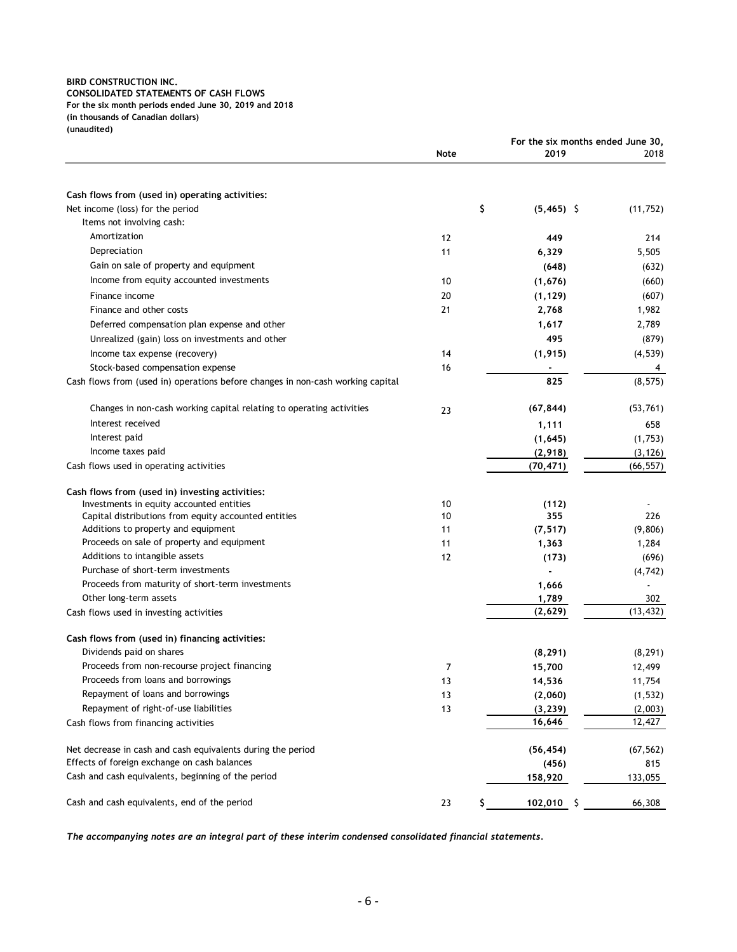| <b>BIRD CONSTRUCTION INC.</b>                                                               |      |                                   |                  |
|---------------------------------------------------------------------------------------------|------|-----------------------------------|------------------|
|                                                                                             |      |                                   |                  |
|                                                                                             |      |                                   |                  |
|                                                                                             |      |                                   |                  |
|                                                                                             |      |                                   |                  |
| <b>CONSOLIDATED STATEMENTS OF CASH FLOWS</b>                                                |      |                                   |                  |
| For the six month periods ended June 30, 2019 and 2018                                      |      |                                   |                  |
| (in thousands of Canadian dollars)<br>(unaudited)                                           |      |                                   |                  |
|                                                                                             |      | For the six months ended June 30, |                  |
|                                                                                             | Note | 2019                              | 2018             |
|                                                                                             |      |                                   |                  |
| Cash flows from (used in) operating activities:                                             |      |                                   |                  |
| Net income (loss) for the period                                                            | \$   | $(5,465)$ \$                      | (11, 752)        |
| Items not involving cash:                                                                   |      |                                   |                  |
| Amortization                                                                                | 12   | 449                               | 214              |
| Depreciation                                                                                | 11   | 6,329                             | 5,505            |
| Gain on sale of property and equipment                                                      |      | (648)                             | (632)            |
| Income from equity accounted investments                                                    | 10   | (1,676)                           | (660)            |
| Finance income                                                                              | 20   | (1, 129)                          | (607)            |
| Finance and other costs                                                                     | 21   | 2,768                             | 1,982            |
| Deferred compensation plan expense and other                                                |      | 1,617                             | 2,789            |
| Unrealized (gain) loss on investments and other                                             |      | 495                               | (879)            |
| Income tax expense (recovery)                                                               | 14   | (1, 915)                          | (4, 539)         |
| Stock-based compensation expense                                                            | 16   | $\sim$                            | 4                |
| Cash flows from (used in) operations before changes in non-cash working capital             |      | 825                               | (8, 575)         |
| Changes in non-cash working capital relating to operating activities                        | 23   | (67, 844)                         | (53, 761)        |
| Interest received                                                                           |      | 1,111                             | 658              |
| Interest paid                                                                               |      | (1,645)                           | (1,753)          |
| Income taxes paid                                                                           |      | (2,918)                           | (3, 126)         |
| Cash flows used in operating activities                                                     |      | (70, 471)                         | (66, 557)        |
|                                                                                             |      |                                   |                  |
| Cash flows from (used in) investing activities:<br>Investments in equity accounted entities | 10   | (112)                             |                  |
| Capital distributions from equity accounted entities                                        | 10   | 355                               | 226              |
| Additions to property and equipment                                                         | 11   | (7, 517)                          | (9,806)          |
| Proceeds on sale of property and equipment                                                  | 11   | 1,363                             | 1,284            |
| Additions to intangible assets                                                              | 12   | (173)                             | (696)            |
| Purchase of short-term investments                                                          |      | $\overline{\phantom{a}}$          | (4, 742)         |
| Proceeds from maturity of short-term investments<br>Other long-term assets                  |      | 1,666                             | $\blacksquare$   |
| Cash flows used in investing activities                                                     |      | 1,789<br>(2,629)                  | 302<br>(13, 432) |
|                                                                                             |      |                                   |                  |
| Cash flows from (used in) financing activities:                                             |      |                                   |                  |
| Dividends paid on shares                                                                    |      | (8, 291)                          | (8, 291)         |
| Proceeds from non-recourse project financing                                                | 7    | 15,700                            | 12,499           |
| Proceeds from loans and borrowings                                                          | 13   | 14,536                            | 11,754           |
| Repayment of loans and borrowings                                                           | 13   | (2,060)                           | (1, 532)         |
| Repayment of right-of-use liabilities                                                       | 13   | (3, 239)                          | (2,003)          |
| Cash flows from financing activities                                                        |      | 16,646                            | 12,427           |
| Net decrease in cash and cash equivalents during the period                                 |      | (56, 454)                         | (67, 562)        |
| Effects of foreign exchange on cash balances                                                |      | (456)                             | 815              |
| Cash and cash equivalents, beginning of the period                                          |      | 158,920                           | 133,055          |
|                                                                                             |      |                                   |                  |
| Cash and cash equivalents, end of the period                                                | 23   | 102,010 \$                        | 66,308           |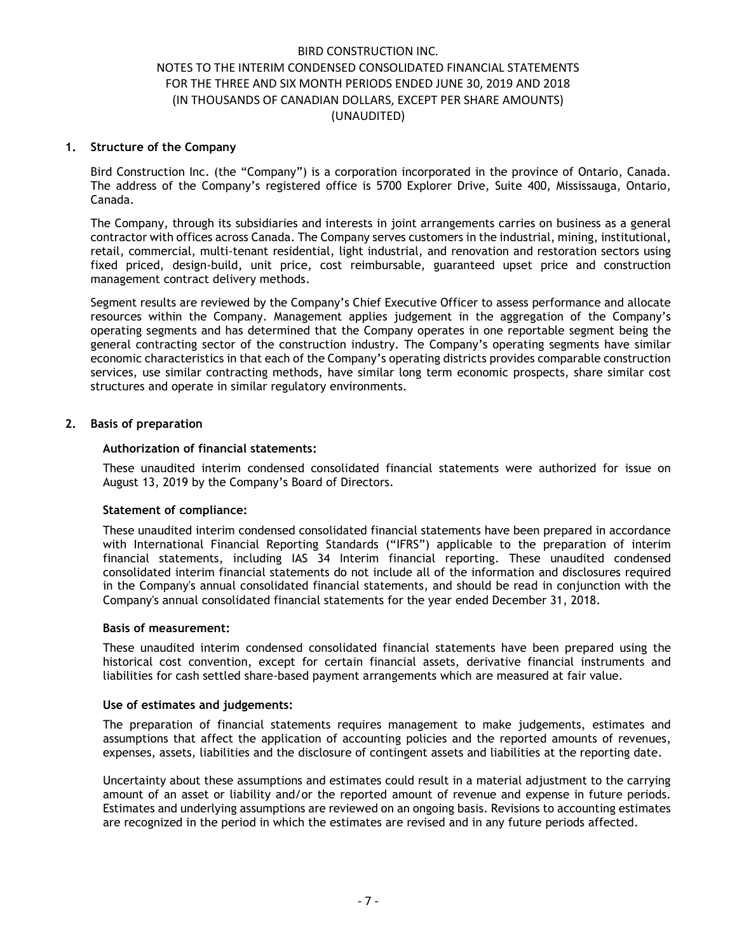#### 1. Structure of the Company

Bird Construction Inc. (the "Company") is a corporation incorporated in the province of Ontario, Canada. The address of the Company's registered office is 5700 Explorer Drive, Suite 400, Mississauga, Ontario, Canada.

The Company, through its subsidiaries and interests in joint arrangements carries on business as a general contractor with offices across Canada. The Company serves customers in the industrial, mining, institutional, retail, commercial, multi-tenant residential, light industrial, and renovation and restoration sectors using fixed priced, design-build, unit price, cost reimbursable, guaranteed upset price and construction management contract delivery methods.

Segment results are reviewed by the Company's Chief Executive Officer to assess performance and allocate resources within the Company. Management applies judgement in the aggregation of the Company's operating segments and has determined that the Company operates in one reportable segment being the general contracting sector of the construction industry. The Company's operating segments have similar economic characteristics in that each of the Company's operating districts provides comparable construction services, use similar contracting methods, have similar long term economic prospects, share similar cost structures and operate in similar regulatory environments.

## 2. Basis of preparation

### Authorization of financial statements:

These unaudited interim condensed consolidated financial statements were authorized for issue on August 13, 2019 by the Company's Board of Directors.

#### Statement of compliance:

These unaudited interim condensed consolidated financial statements have been prepared in accordance with International Financial Reporting Standards ("IFRS") applicable to the preparation of interim financial statements, including IAS 34 Interim financial reporting. These unaudited condensed consolidated interim financial statements do not include all of the information and disclosures required in the Company's annual consolidated financial statements, and should be read in conjunction with the Company's annual consolidated financial statements for the year ended December 31, 2018.

#### Basis of measurement:

These unaudited interim condensed consolidated financial statements have been prepared using the historical cost convention, except for certain financial assets, derivative financial instruments and liabilities for cash settled share-based payment arrangements which are measured at fair value.

#### Use of estimates and judgements:

The preparation of financial statements requires management to make judgements, estimates and assumptions that affect the application of accounting policies and the reported amounts of revenues, expenses, assets, liabilities and the disclosure of contingent assets and liabilities at the reporting date.

Uncertainty about these assumptions and estimates could result in a material adjustment to the carrying amount of an asset or liability and/or the reported amount of revenue and expense in future periods. Estimates and underlying assumptions are reviewed on an ongoing basis. Revisions to accounting estimates are recognized in the period in which the estimates are revised and in any future periods affected.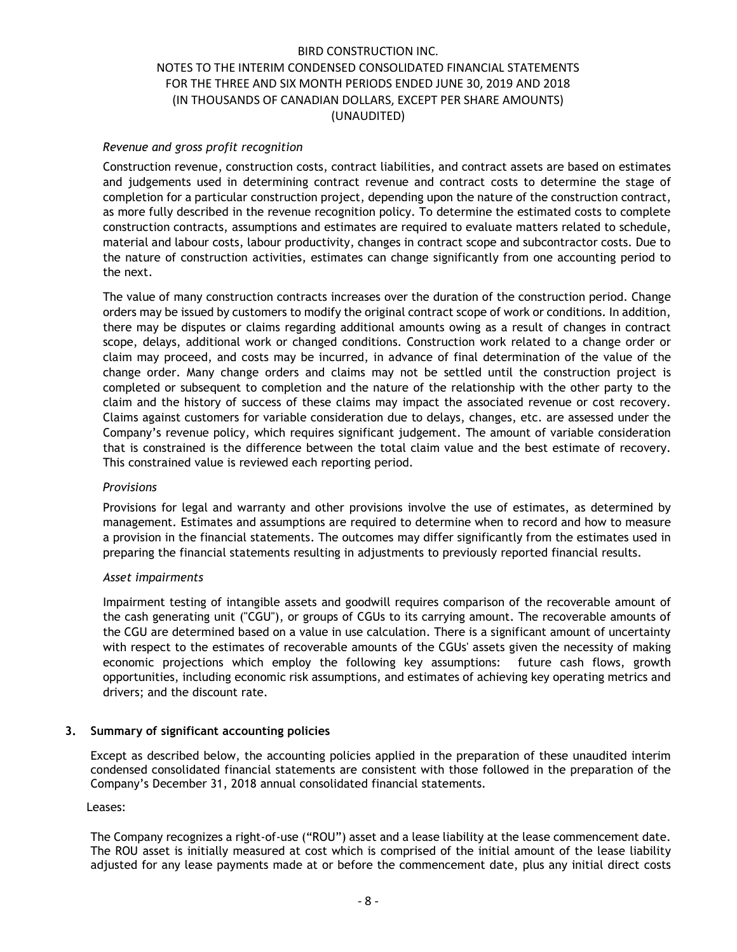### Revenue and gross profit recognition

Construction revenue, construction costs, contract liabilities, and contract assets are based on estimates and judgements used in determining contract revenue and contract costs to determine the stage of completion for a particular construction project, depending upon the nature of the construction contract, as more fully described in the revenue recognition policy. To determine the estimated costs to complete construction contracts, assumptions and estimates are required to evaluate matters related to schedule, material and labour costs, labour productivity, changes in contract scope and subcontractor costs. Due to the nature of construction activities, estimates can change significantly from one accounting period to the next.

The value of many construction contracts increases over the duration of the construction period. Change orders may be issued by customers to modify the original contract scope of work or conditions. In addition, there may be disputes or claims regarding additional amounts owing as a result of changes in contract scope, delays, additional work or changed conditions. Construction work related to a change order or claim may proceed, and costs may be incurred, in advance of final determination of the value of the change order. Many change orders and claims may not be settled until the construction project is completed or subsequent to completion and the nature of the relationship with the other party to the claim and the history of success of these claims may impact the associated revenue or cost recovery. Claims against customers for variable consideration due to delays, changes, etc. are assessed under the Company's revenue policy, which requires significant judgement. The amount of variable consideration that is constrained is the difference between the total claim value and the best estimate of recovery. This constrained value is reviewed each reporting period.

#### Provisions

Provisions for legal and warranty and other provisions involve the use of estimates, as determined by management. Estimates and assumptions are required to determine when to record and how to measure a provision in the financial statements. The outcomes may differ significantly from the estimates used in preparing the financial statements resulting in adjustments to previously reported financial results.

#### Asset impairments

Impairment testing of intangible assets and goodwill requires comparison of the recoverable amount of the cash generating unit ("CGU"), or groups of CGUs to its carrying amount. The recoverable amounts of the CGU are determined based on a value in use calculation. There is a significant amount of uncertainty with respect to the estimates of recoverable amounts of the CGUs' assets given the necessity of making economic projections which employ the following key assumptions: future cash flows, growth opportunities, including economic risk assumptions, and estimates of achieving key operating metrics and drivers; and the discount rate.

## 3. Summary of significant accounting policies

Except as described below, the accounting policies applied in the preparation of these unaudited interim condensed consolidated financial statements are consistent with those followed in the preparation of the Company's December 31, 2018 annual consolidated financial statements.

Leases:

The Company recognizes a right-of-use ("ROU") asset and a lease liability at the lease commencement date. The ROU asset is initially measured at cost which is comprised of the initial amount of the lease liability adjusted for any lease payments made at or before the commencement date, plus any initial direct costs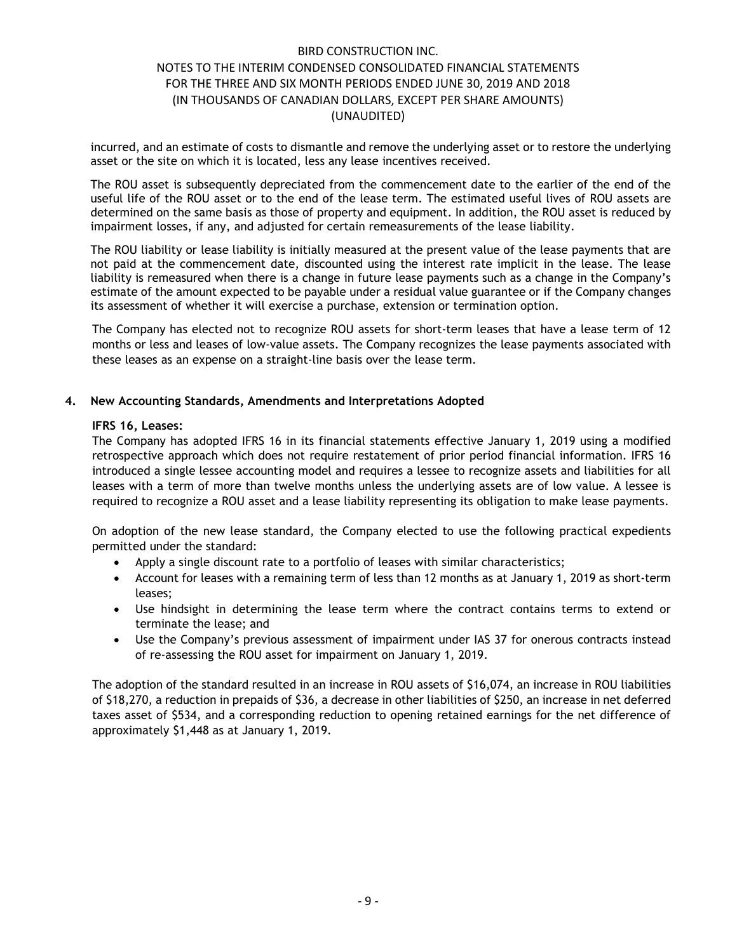incurred, and an estimate of costs to dismantle and remove the underlying asset or to restore the underlying asset or the site on which it is located, less any lease incentives received.

The ROU asset is subsequently depreciated from the commencement date to the earlier of the end of the useful life of the ROU asset or to the end of the lease term. The estimated useful lives of ROU assets are determined on the same basis as those of property and equipment. In addition, the ROU asset is reduced by impairment losses, if any, and adjusted for certain remeasurements of the lease liability.

The ROU liability or lease liability is initially measured at the present value of the lease payments that are not paid at the commencement date, discounted using the interest rate implicit in the lease. The lease liability is remeasured when there is a change in future lease payments such as a change in the Company's estimate of the amount expected to be payable under a residual value guarantee or if the Company changes its assessment of whether it will exercise a purchase, extension or termination option.

The Company has elected not to recognize ROU assets for short-term leases that have a lease term of 12 months or less and leases of low-value assets. The Company recognizes the lease payments associated with these leases as an expense on a straight-line basis over the lease term.

### 4. New Accounting Standards, Amendments and Interpretations Adopted

#### IFRS 16, Leases:

The Company has adopted IFRS 16 in its financial statements effective January 1, 2019 using a modified retrospective approach which does not require restatement of prior period financial information. IFRS 16 introduced a single lessee accounting model and requires a lessee to recognize assets and liabilities for all leases with a term of more than twelve months unless the underlying assets are of low value. A lessee is required to recognize a ROU asset and a lease liability representing its obligation to make lease payments.

On adoption of the new lease standard, the Company elected to use the following practical expedients permitted under the standard:

- Apply a single discount rate to a portfolio of leases with similar characteristics;
- Account for leases with a remaining term of less than 12 months as at January 1, 2019 as short-term leases;
- Use hindsight in determining the lease term where the contract contains terms to extend or terminate the lease; and
- Use the Company's previous assessment of impairment under IAS 37 for onerous contracts instead of re-assessing the ROU asset for impairment on January 1, 2019.

The adoption of the standard resulted in an increase in ROU assets of \$16,074, an increase in ROU liabilities of \$18,270, a reduction in prepaids of \$36, a decrease in other liabilities of \$250, an increase in net deferred taxes asset of \$534, and a corresponding reduction to opening retained earnings for the net difference of approximately \$1,448 as at January 1, 2019.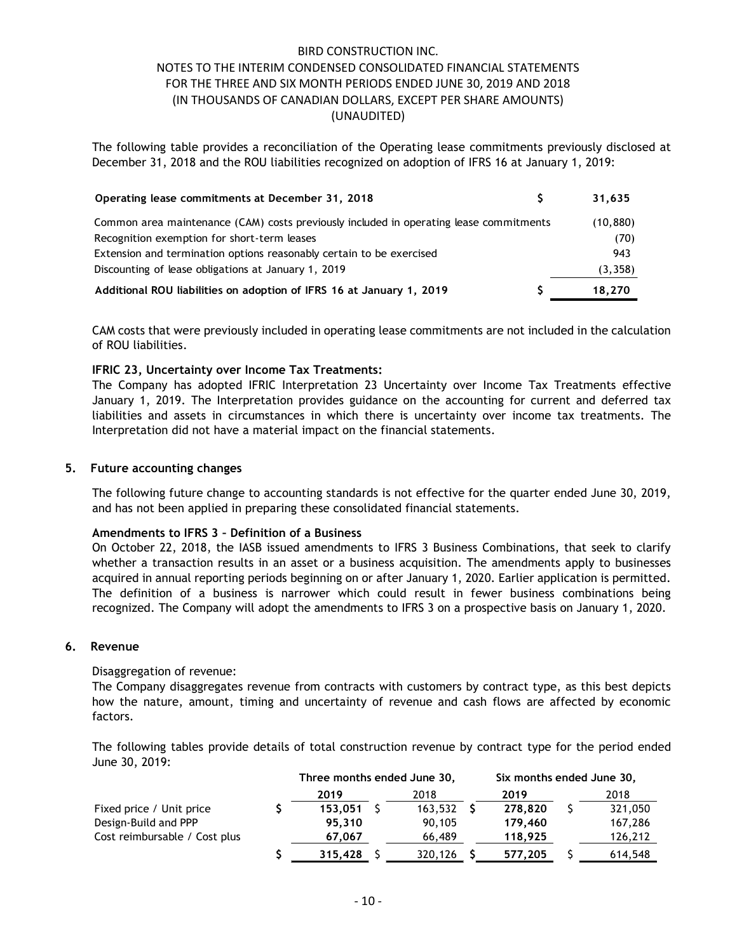| <b>BIRD CONSTRUCTION INC.</b>                                                                                                                                                                               |              |
|-------------------------------------------------------------------------------------------------------------------------------------------------------------------------------------------------------------|--------------|
| NOTES TO THE INTERIM CONDENSED CONSOLIDATED FINANCIAL STATEMENTS                                                                                                                                            |              |
| FOR THE THREE AND SIX MONTH PERIODS ENDED JUNE 30, 2019 AND 2018                                                                                                                                            |              |
| (IN THOUSANDS OF CANADIAN DOLLARS, EXCEPT PER SHARE AMOUNTS)                                                                                                                                                |              |
| (UNAUDITED)                                                                                                                                                                                                 |              |
| The following table provides a reconciliation of the Operating lease commitments previously disclosed at<br>December 31, 2018 and the ROU liabilities recognized on adoption of IFRS 16 at January 1, 2019: |              |
| Operating lease commitments at December 31, 2018                                                                                                                                                            | \$<br>31,635 |
|                                                                                                                                                                                                             |              |
| Common area maintenance (CAM) costs previously included in operating lease commitments                                                                                                                      | (10, 880)    |
| Recognition exemption for short-term leases<br>Extension and termination options reasonably certain to be exercised                                                                                         | (70)<br>943  |
| Discounting of lease obligations at January 1, 2019                                                                                                                                                         | (3, 358)     |
| Additional ROU liabilities on adoption of IFRS 16 at January 1, 2019                                                                                                                                        | 18,270       |
|                                                                                                                                                                                                             |              |
| CAM costs that were previously included in operating lease commitments are not included in the calculation<br>of ROU liabilities.                                                                           |              |

## IFRIC 23, Uncertainty over Income Tax Treatments:

The Company has adopted IFRIC Interpretation 23 Uncertainty over Income Tax Treatments effective January 1, 2019. The Interpretation provides guidance on the accounting for current and deferred tax liabilities and assets in circumstances in which there is uncertainty over income tax treatments. The Interpretation did not have a material impact on the financial statements.

### 5. Future accounting changes

The following future change to accounting standards is not effective for the quarter ended June 30, 2019, and has not been applied in preparing these consolidated financial statements.

#### Amendments to IFRS 3 – Definition of a Business

#### 6. Revenue

#### Disaggregation of revenue:

| The Toutowing Tuttle Change to accounting standards is not effective for the quarter ended June Jo, 2017,<br>and has not been applied in preparing these consolidated financial statements.                                                                                                                                                                                                                                                                                                                                                                                                        |                                          |                                          |                                       |    |                                       |
|----------------------------------------------------------------------------------------------------------------------------------------------------------------------------------------------------------------------------------------------------------------------------------------------------------------------------------------------------------------------------------------------------------------------------------------------------------------------------------------------------------------------------------------------------------------------------------------------------|------------------------------------------|------------------------------------------|---------------------------------------|----|---------------------------------------|
| Amendments to IFRS 3 - Definition of a Business<br>On October 22, 2018, the IASB issued amendments to IFRS 3 Business Combinations, that seek to clarify<br>whether a transaction results in an asset or a business acquisition. The amendments apply to businesses<br>acquired in annual reporting periods beginning on or after January 1, 2020. Earlier application is permitted.<br>The definition of a business is narrower which could result in fewer business combinations being<br>recognized. The Company will adopt the amendments to IFRS 3 on a prospective basis on January 1, 2020. |                                          |                                          |                                       |    |                                       |
| Revenue                                                                                                                                                                                                                                                                                                                                                                                                                                                                                                                                                                                            |                                          |                                          |                                       |    |                                       |
| Disaggregation of revenue:<br>The Company disaggregates revenue from contracts with customers by contract type, as this best depicts<br>how the nature, amount, timing and uncertainty of revenue and cash flows are affected by economic<br>factors.<br>The following tables provide details of total construction revenue by contract type for the period ended                                                                                                                                                                                                                                  |                                          |                                          |                                       |    |                                       |
| June 30, 2019:                                                                                                                                                                                                                                                                                                                                                                                                                                                                                                                                                                                     |                                          |                                          |                                       |    |                                       |
|                                                                                                                                                                                                                                                                                                                                                                                                                                                                                                                                                                                                    | Three months ended June 30,              |                                          | Six months ended June 30,             |    |                                       |
| Fixed price / Unit price<br>Design-Build and PPP<br>Cost reimbursable / Cost plus                                                                                                                                                                                                                                                                                                                                                                                                                                                                                                                  | 2019<br>$153,051$ \$<br>95,310<br>67,067 | 2018<br>$163,532$ \$<br>90,105<br>66,489 | 2019<br>278,820<br>179,460<br>118,925 | S. | 2018<br>321,050<br>167,286<br>126,212 |
|                                                                                                                                                                                                                                                                                                                                                                                                                                                                                                                                                                                                    | $315,428$ \$                             | $320,126$ \$                             | 577,205                               |    | 614,548                               |
|                                                                                                                                                                                                                                                                                                                                                                                                                                                                                                                                                                                                    | $-10-$                                   |                                          |                                       |    |                                       |
|                                                                                                                                                                                                                                                                                                                                                                                                                                                                                                                                                                                                    |                                          |                                          |                                       |    |                                       |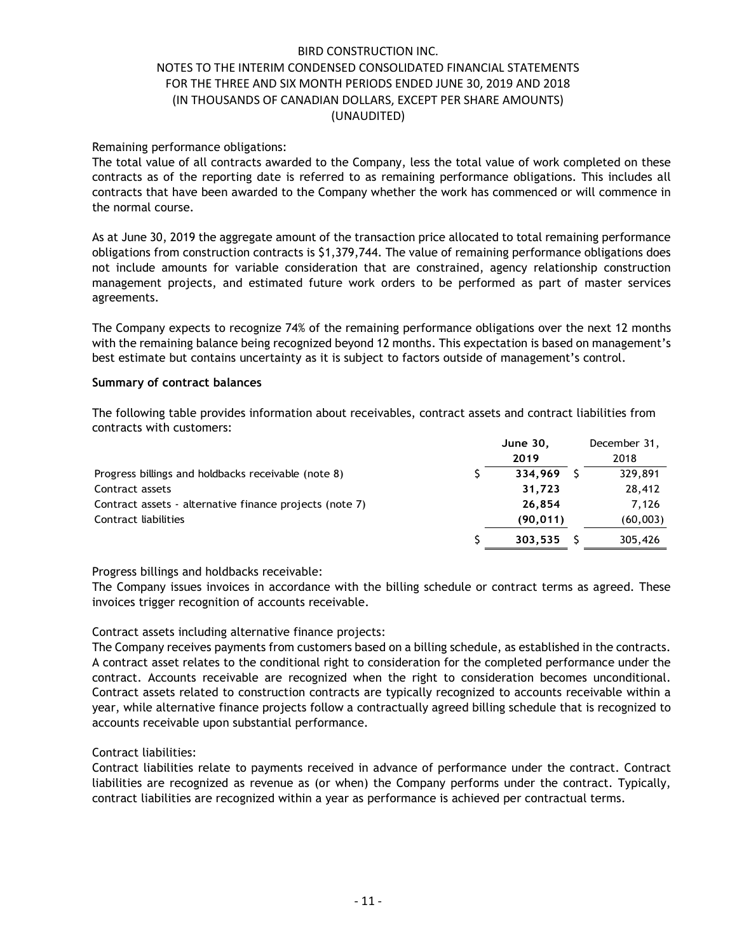## Remaining performance obligations:

The total value of all contracts awarded to the Company, less the total value of work completed on these contracts as of the reporting date is referred to as remaining performance obligations. This includes all contracts that have been awarded to the Company whether the work has commenced or will commence in the normal course.

#### Summary of contract balances

| contracts as of the reporting date is referred to as remaining performance obligations. This includes all<br>contracts that have been awarded to the Company whether the work has commenced or will commence in<br>the normal course.                                                                                                                                                                                                                 |              | The total value of all contracts awarded to the Company, less the total value of work completed on these |
|-------------------------------------------------------------------------------------------------------------------------------------------------------------------------------------------------------------------------------------------------------------------------------------------------------------------------------------------------------------------------------------------------------------------------------------------------------|--------------|----------------------------------------------------------------------------------------------------------|
| As at June 30, 2019 the aggregate amount of the transaction price allocated to total remaining performance<br>obligations from construction contracts is \$1,379,744. The value of remaining performance obligations does<br>not include amounts for variable consideration that are constrained, agency relationship construction<br>management projects, and estimated future work orders to be performed as part of master services<br>agreements. |              |                                                                                                          |
| The Company expects to recognize 74% of the remaining performance obligations over the next 12 months<br>with the remaining balance being recognized beyond 12 months. This expectation is based on management's<br>best estimate but contains uncertainty as it is subject to factors outside of management's control.                                                                                                                               |              |                                                                                                          |
| <b>Summary of contract balances</b>                                                                                                                                                                                                                                                                                                                                                                                                                   |              |                                                                                                          |
| The following table provides information about receivables, contract assets and contract liabilities from<br>contracts with customers:                                                                                                                                                                                                                                                                                                                |              |                                                                                                          |
|                                                                                                                                                                                                                                                                                                                                                                                                                                                       | June 30,     | December 31,                                                                                             |
|                                                                                                                                                                                                                                                                                                                                                                                                                                                       | 2019         | 2018                                                                                                     |
| Progress billings and holdbacks receivable (note 8)                                                                                                                                                                                                                                                                                                                                                                                                   | $334,969$ \$ | 329,891                                                                                                  |
| Contract assets                                                                                                                                                                                                                                                                                                                                                                                                                                       | 31,723       | 28,412                                                                                                   |
|                                                                                                                                                                                                                                                                                                                                                                                                                                                       | 26,854       | 7,126                                                                                                    |
| Contract assets - alternative finance projects (note 7)                                                                                                                                                                                                                                                                                                                                                                                               |              |                                                                                                          |
| Contract liabilities                                                                                                                                                                                                                                                                                                                                                                                                                                  | (90, 011)    | (60,003)                                                                                                 |

#### Progress billings and holdbacks receivable:

#### Contract assets including alternative finance projects:

The Company receives payments from customers based on a billing schedule, as established in the contracts. A contract asset relates to the conditional right to consideration for the completed performance under the contract. Accounts receivable are recognized when the right to consideration becomes unconditional. Contract assets related to construction contracts are typically recognized to accounts receivable within a year, while alternative finance projects follow a contractually agreed billing schedule that is recognized to accounts receivable upon substantial performance.

## Contract liabilities:

Contract liabilities relate to payments received in advance of performance under the contract. Contract liabilities are recognized as revenue as (or when) the Company performs under the contract. Typically, contract liabilities are recognized within a year as performance is achieved per contractual terms.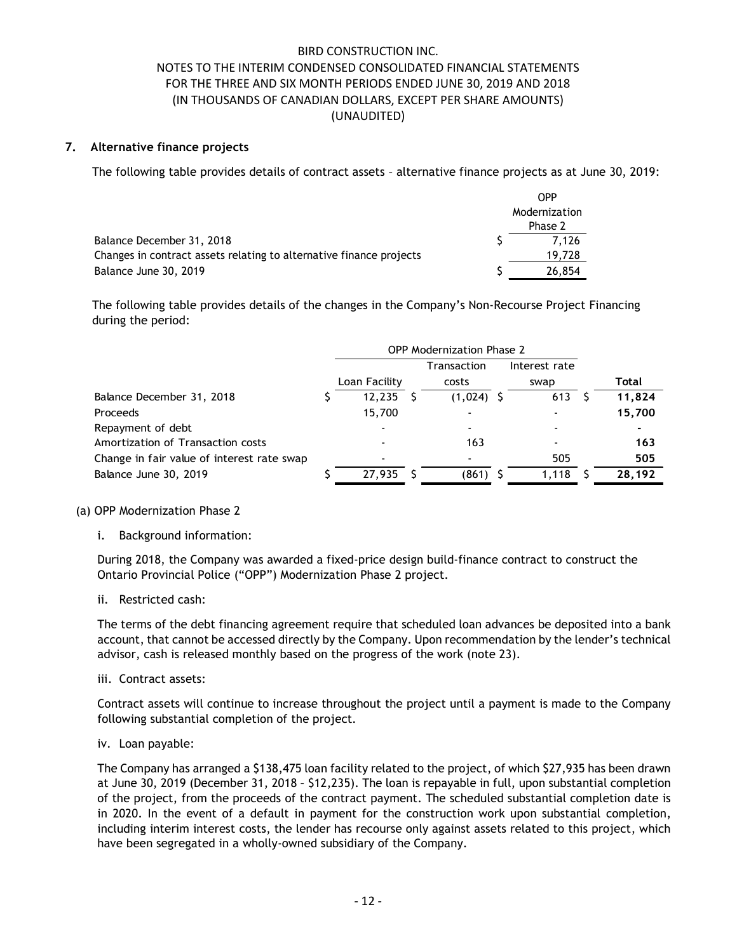## 7. Alternative finance projects

| during the period:    | The following table provides details of the changes in the Company's Non-Recourse Project Financing                                                                                                                                                  |                                        |  |
|-----------------------|------------------------------------------------------------------------------------------------------------------------------------------------------------------------------------------------------------------------------------------------------|----------------------------------------|--|
| Balance June 30, 2019 | Balance December 31, 2018<br>Changes in contract assets relating to alternative finance projects                                                                                                                                                     | 7,126<br>19,728<br>26,854              |  |
|                       |                                                                                                                                                                                                                                                      | <b>OPP</b><br>Modernization<br>Phase 2 |  |
|                       | The following table provides details of contract assets - alternative finance projects as at June 30, 2019:                                                                                                                                          |                                        |  |
|                       | Alternative finance projects                                                                                                                                                                                                                         |                                        |  |
|                       | <b>BIRD CONSTRUCTION INC.</b><br>NOTES TO THE INTERIM CONDENSED CONSOLIDATED FINANCIAL STATEMENTS<br>FOR THE THREE AND SIX MONTH PERIODS ENDED JUNE 30, 2019 AND 2018<br>(IN THOUSANDS OF CANADIAN DOLLARS, EXCEPT PER SHARE AMOUNTS)<br>(UNAUDITED) |                                        |  |

| FOR THE THREE AND SIX MONTH PERIODS ENDED JUNE 30, 2019 AND 2018<br>(IN THOUSANDS OF CANADIAN DOLLARS, EXCEPT PER SHARE AMOUNTS) |   |                        |                           |                          |    |              |
|----------------------------------------------------------------------------------------------------------------------------------|---|------------------------|---------------------------|--------------------------|----|--------------|
|                                                                                                                                  |   | (UNAUDITED)            |                           |                          |    |              |
| Alternative finance projects                                                                                                     |   |                        |                           |                          |    |              |
| The following table provides details of contract assets - alternative finance projects as at June 30, 2019:                      |   |                        |                           |                          |    |              |
|                                                                                                                                  |   |                        |                           | <b>OPP</b>               |    |              |
|                                                                                                                                  |   |                        |                           | Modernization<br>Phase 2 |    |              |
| Balance December 31, 2018                                                                                                        |   |                        |                           | 7,126                    |    |              |
| Changes in contract assets relating to alternative finance projects                                                              |   |                        |                           | 19,728                   |    |              |
| Balance June 30, 2019                                                                                                            |   |                        |                           | 26,854                   |    |              |
|                                                                                                                                  |   |                        | OPP Modernization Phase 2 |                          |    |              |
|                                                                                                                                  |   | Loan Facility          | Transaction<br>costs      | Interest rate<br>swap    |    | <b>Total</b> |
| Balance December 31, 2018                                                                                                        |   | $12,235$ \$            | $(1,024)$ \$              | $613 \quad 5$            |    | 11,824       |
| Proceeds                                                                                                                         |   | 15,700                 |                           |                          |    | 15,700       |
| Repayment of debt                                                                                                                |   |                        |                           |                          |    |              |
| Amortization of Transaction costs                                                                                                |   |                        | 163                       |                          |    | 163          |
| Change in fair value of interest rate swap                                                                                       |   |                        |                           | 505                      |    | 505          |
| Balance June 30, 2019                                                                                                            | S | $\overline{27,935}$ \$ | $(861)$ \$                | 1,118                    | -S | 28,192       |
| <b>OPP Modernization Phase 2</b>                                                                                                 |   |                        |                           |                          |    |              |
| Background information:                                                                                                          |   |                        |                           |                          |    |              |
|                                                                                                                                  |   |                        |                           |                          |    |              |

#### (a) OPP Modernization Phase 2

During 2018, the Company was awarded a fixed-price design build-finance contract to construct the Ontario Provincial Police ("OPP") Modernization Phase 2 project.

ii. Restricted cash:

The terms of the debt financing agreement require that scheduled loan advances be deposited into a bank account, that cannot be accessed directly by the Company. Upon recommendation by the lender's technical advisor, cash is released monthly based on the progress of the work (note 23).

iii. Contract assets:

Contract assets will continue to increase throughout the project until a payment is made to the Company following substantial completion of the project.

iv. Loan payable:

The Company has arranged a \$138,475 loan facility related to the project, of which \$27,935 has been drawn at June 30, 2019 (December 31, 2018 – \$12,235). The loan is repayable in full, upon substantial completion of the project, from the proceeds of the contract payment. The scheduled substantial completion date is in 2020. In the event of a default in payment for the construction work upon substantial completion, including interim interest costs, the lender has recourse only against assets related to this project, which have been segregated in a wholly-owned subsidiary of the Company.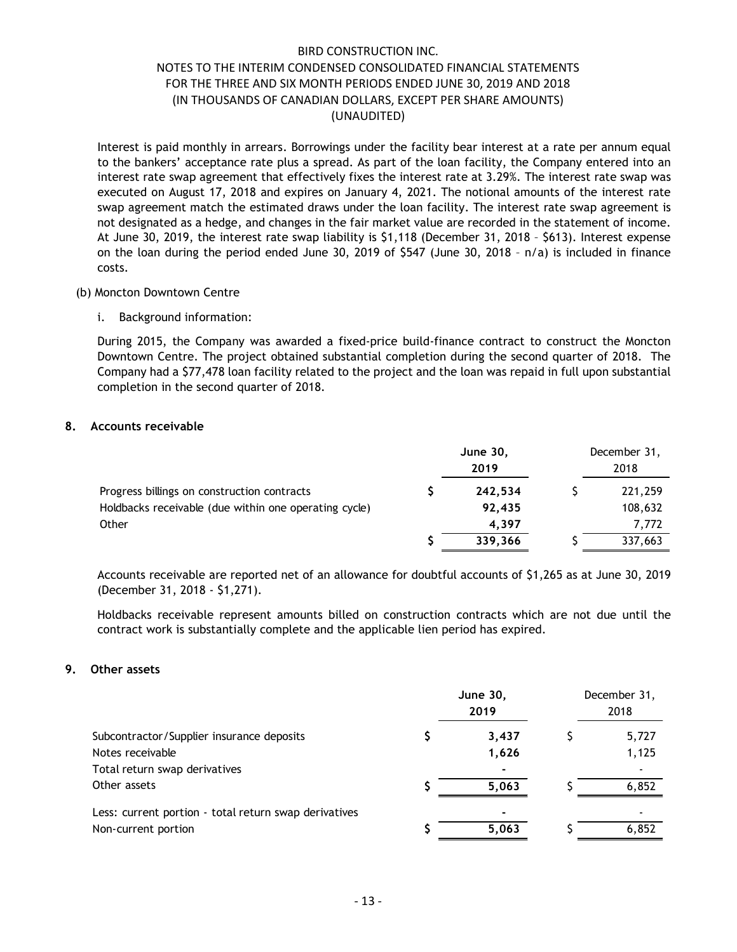Interest is paid monthly in arrears. Borrowings under the facility bear interest at a rate per annum equal to the bankers' acceptance rate plus a spread. As part of the loan facility, the Company entered into an interest rate swap agreement that effectively fixes the interest rate at 3.29%. The interest rate swap was executed on August 17, 2018 and expires on January 4, 2021. The notional amounts of the interest rate swap agreement match the estimated draws under the loan facility. The interest rate swap agreement is not designated as a hedge, and changes in the fair market value are recorded in the statement of income. At June 30, 2019, the interest rate swap liability is \$1,118 (December 31, 2018 – \$613). Interest expense on the loan during the period ended June 30, 2019 of \$547 (June 30, 2018 – n/a) is included in finance costs.

#### (b) Moncton Downtown Centre

## 8. Accounts receivable

| During 2015, the Company was awarded a fixed-price build-finance contract to construct the Moncton<br>Downtown Centre. The project obtained substantial completion during the second quarter of 2018. The<br>Company had a \$77,478 loan facility related to the project and the loan was repaid in full upon substantial<br><b>June 30,</b><br>December 31,<br>2019<br>2018<br>221,259<br>242,534<br>Holdbacks receivable (due within one operating cycle)<br>108,632<br>92,435<br>4,397<br>7,772<br>337,663<br>339,366<br>Accounts receivable are reported net of an allowance for doubtful accounts of \$1,265 as at June 30, 2019<br>Holdbacks receivable represent amounts billed on construction contracts which are not due until the | interest rate swap agreement that effectively fixes the interest rate at 5.29%. The interest rate swap was<br>executed on August 17, 2018 and expires on January 4, 2021. The notional amounts of the interest rate<br>swap agreement match the estimated draws under the loan facility. The interest rate swap agreement is<br>not designated as a hedge, and changes in the fair market value are recorded in the statement of income.<br>At June 30, 2019, the interest rate swap liability is \$1,118 (December 31, 2018 - \$613). Interest expense<br>on the loan during the period ended June 30, 2019 of \$547 (June 30, 2018 - n/a) is included in finance<br>costs. |  |  |  |
|----------------------------------------------------------------------------------------------------------------------------------------------------------------------------------------------------------------------------------------------------------------------------------------------------------------------------------------------------------------------------------------------------------------------------------------------------------------------------------------------------------------------------------------------------------------------------------------------------------------------------------------------------------------------------------------------------------------------------------------------|------------------------------------------------------------------------------------------------------------------------------------------------------------------------------------------------------------------------------------------------------------------------------------------------------------------------------------------------------------------------------------------------------------------------------------------------------------------------------------------------------------------------------------------------------------------------------------------------------------------------------------------------------------------------------|--|--|--|
|                                                                                                                                                                                                                                                                                                                                                                                                                                                                                                                                                                                                                                                                                                                                              | <b>Moncton Downtown Centre</b>                                                                                                                                                                                                                                                                                                                                                                                                                                                                                                                                                                                                                                               |  |  |  |
|                                                                                                                                                                                                                                                                                                                                                                                                                                                                                                                                                                                                                                                                                                                                              | i. Background information:                                                                                                                                                                                                                                                                                                                                                                                                                                                                                                                                                                                                                                                   |  |  |  |
|                                                                                                                                                                                                                                                                                                                                                                                                                                                                                                                                                                                                                                                                                                                                              | completion in the second quarter of 2018.<br>ccounts receivable)                                                                                                                                                                                                                                                                                                                                                                                                                                                                                                                                                                                                             |  |  |  |
|                                                                                                                                                                                                                                                                                                                                                                                                                                                                                                                                                                                                                                                                                                                                              |                                                                                                                                                                                                                                                                                                                                                                                                                                                                                                                                                                                                                                                                              |  |  |  |
|                                                                                                                                                                                                                                                                                                                                                                                                                                                                                                                                                                                                                                                                                                                                              |                                                                                                                                                                                                                                                                                                                                                                                                                                                                                                                                                                                                                                                                              |  |  |  |
|                                                                                                                                                                                                                                                                                                                                                                                                                                                                                                                                                                                                                                                                                                                                              | Progress billings on construction contracts                                                                                                                                                                                                                                                                                                                                                                                                                                                                                                                                                                                                                                  |  |  |  |
|                                                                                                                                                                                                                                                                                                                                                                                                                                                                                                                                                                                                                                                                                                                                              | Other                                                                                                                                                                                                                                                                                                                                                                                                                                                                                                                                                                                                                                                                        |  |  |  |
|                                                                                                                                                                                                                                                                                                                                                                                                                                                                                                                                                                                                                                                                                                                                              |                                                                                                                                                                                                                                                                                                                                                                                                                                                                                                                                                                                                                                                                              |  |  |  |
|                                                                                                                                                                                                                                                                                                                                                                                                                                                                                                                                                                                                                                                                                                                                              | (December 31, 2018 - \$1,271).                                                                                                                                                                                                                                                                                                                                                                                                                                                                                                                                                                                                                                               |  |  |  |

#### 9. Other assets

| <b>Accounts receivable</b>                                                                                                                                                                 |                         |    |                      |
|--------------------------------------------------------------------------------------------------------------------------------------------------------------------------------------------|-------------------------|----|----------------------|
|                                                                                                                                                                                            | <b>June 30,</b><br>2019 |    | December 31,<br>2018 |
| Progress billings on construction contracts                                                                                                                                                | 242,534                 | S. | 221,259              |
| Holdbacks receivable (due within one operating cycle)                                                                                                                                      | 92,435                  |    | 108,632              |
| Other                                                                                                                                                                                      | 4,397                   |    | 7,772                |
|                                                                                                                                                                                            | 339,366                 |    | 337,663              |
| (December 31, 2018 - \$1,271).                                                                                                                                                             |                         |    |                      |
| Holdbacks receivable represent amounts billed on construction contracts which are not due until the<br>contract work is substantially complete and the applicable lien period has expired. |                         |    |                      |
|                                                                                                                                                                                            | <b>June 30,</b>         |    | December 31,         |
| Other assets                                                                                                                                                                               | 2019                    |    | 2018                 |
| Subcontractor/Supplier insurance deposits                                                                                                                                                  | 3,437                   | \$ | 5,727                |
| Notes receivable                                                                                                                                                                           | 1,626                   |    | 1,125                |
| Total return swap derivatives                                                                                                                                                              |                         |    |                      |
| Other assets                                                                                                                                                                               | 5,063                   |    | 6,852                |
| Less: current portion - total return swap derivatives                                                                                                                                      |                         |    |                      |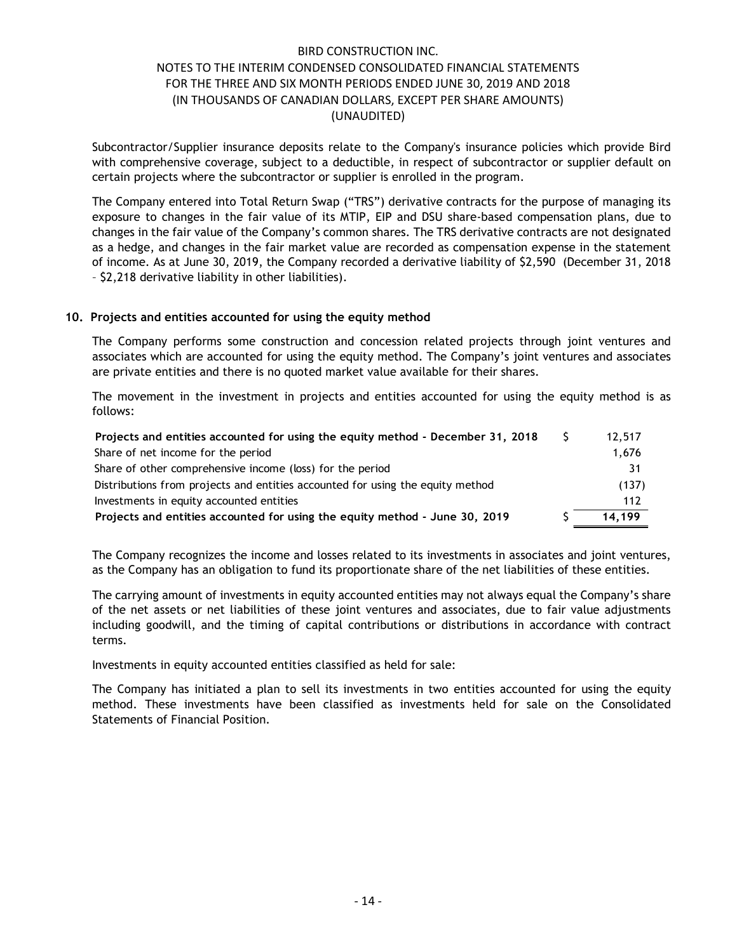### 10. Projects and entities accounted for using the equity method

| Subcontractor/Supplier insurance deposits relate to the Company's insurance policies which provide Bird<br>with comprehensive coverage, subject to a deductible, in respect of subcontractor or supplier default on<br>certain projects where the subcontractor or supplier is enrolled in the program.                                                                                                                                                                                                                                                                                                       |    |        |
|---------------------------------------------------------------------------------------------------------------------------------------------------------------------------------------------------------------------------------------------------------------------------------------------------------------------------------------------------------------------------------------------------------------------------------------------------------------------------------------------------------------------------------------------------------------------------------------------------------------|----|--------|
| The Company entered into Total Return Swap ("TRS") derivative contracts for the purpose of managing its<br>exposure to changes in the fair value of its MTIP, EIP and DSU share-based compensation plans, due to<br>changes in the fair value of the Company's common shares. The TRS derivative contracts are not designated<br>as a hedge, and changes in the fair market value are recorded as compensation expense in the statement<br>of income. As at June 30, 2019, the Company recorded a derivative liability of \$2,590 (December 31, 2018<br>- \$2,218 derivative liability in other liabilities). |    |        |
| Projects and entities accounted for using the equity method                                                                                                                                                                                                                                                                                                                                                                                                                                                                                                                                                   |    |        |
| The Company performs some construction and concession related projects through joint ventures and<br>associates which are accounted for using the equity method. The Company's joint ventures and associates<br>are private entities and there is no quoted market value available for their shares.                                                                                                                                                                                                                                                                                                          |    |        |
|                                                                                                                                                                                                                                                                                                                                                                                                                                                                                                                                                                                                               |    |        |
| The movement in the investment in projects and entities accounted for using the equity method is as<br>follows:                                                                                                                                                                                                                                                                                                                                                                                                                                                                                               |    |        |
| Projects and entities accounted for using the equity method - December 31, 2018                                                                                                                                                                                                                                                                                                                                                                                                                                                                                                                               | S. | 12,517 |
| Share of net income for the period                                                                                                                                                                                                                                                                                                                                                                                                                                                                                                                                                                            |    | 1,676  |
| Share of other comprehensive income (loss) for the period                                                                                                                                                                                                                                                                                                                                                                                                                                                                                                                                                     |    | 31     |
| Distributions from projects and entities accounted for using the equity method                                                                                                                                                                                                                                                                                                                                                                                                                                                                                                                                |    | (137)  |
| Investments in equity accounted entities                                                                                                                                                                                                                                                                                                                                                                                                                                                                                                                                                                      |    | 112    |

The Company recognizes the income and losses related to its investments in associates and joint ventures, as the Company has an obligation to fund its proportionate share of the net liabilities of these entities.

The carrying amount of investments in equity accounted entities may not always equal the Company's share of the net assets or net liabilities of these joint ventures and associates, due to fair value adjustments including goodwill, and the timing of capital contributions or distributions in accordance with contract terms.

Investments in equity accounted entities classified as held for sale:

The Company has initiated a plan to sell its investments in two entities accounted for using the equity method. These investments have been classified as investments held for sale on the Consolidated Statements of Financial Position.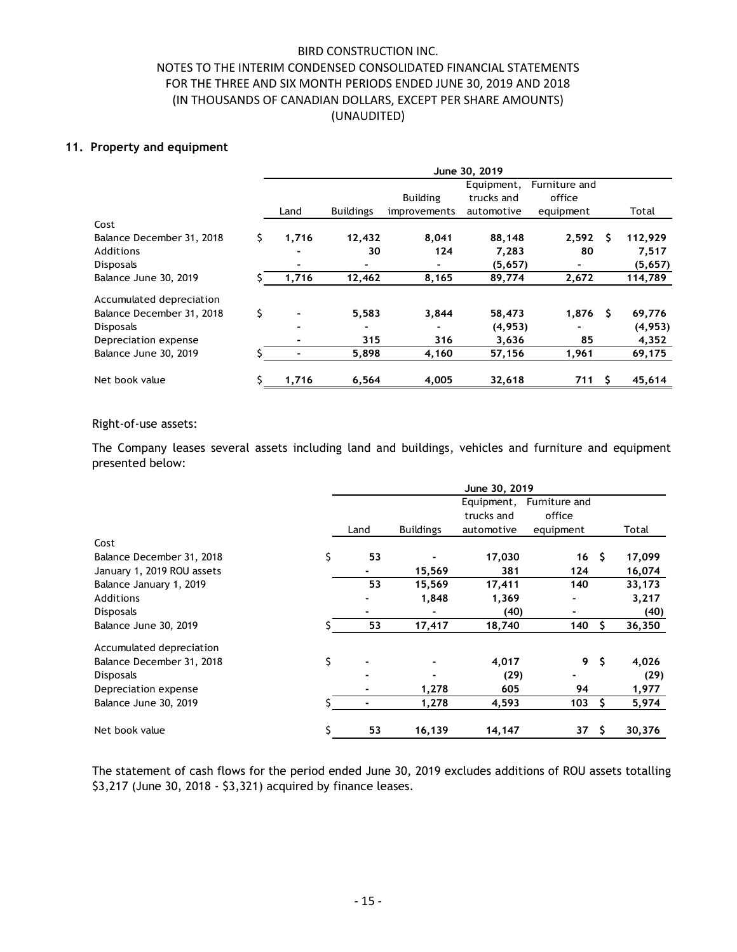### 11. Property and equipment

|                                                                                                                                      |    |                                  | <b>BIRD CONSTRUCTION INC.</b> |                                                              |                                        |                              |                    |
|--------------------------------------------------------------------------------------------------------------------------------------|----|----------------------------------|-------------------------------|--------------------------------------------------------------|----------------------------------------|------------------------------|--------------------|
| NOTES TO THE INTERIM CONDENSED CONSOLIDATED FINANCIAL STATEMENTS<br>FOR THE THREE AND SIX MONTH PERIODS ENDED JUNE 30, 2019 AND 2018 |    |                                  |                               |                                                              |                                        |                              |                    |
|                                                                                                                                      |    |                                  |                               | (IN THOUSANDS OF CANADIAN DOLLARS, EXCEPT PER SHARE AMOUNTS) |                                        |                              |                    |
|                                                                                                                                      |    |                                  | (UNAUDITED)                   |                                                              |                                        |                              |                    |
| <b>Property and equipment</b>                                                                                                        |    |                                  |                               |                                                              |                                        |                              |                    |
|                                                                                                                                      |    |                                  |                               |                                                              | June 30, 2019                          |                              |                    |
|                                                                                                                                      |    |                                  |                               |                                                              | Equipment,                             | Furniture and                |                    |
|                                                                                                                                      |    | Land                             | <b>Buildings</b>              | <b>Building</b><br>improvements                              | trucks and<br>automotive               | office<br>equipment          | Total              |
| Cost                                                                                                                                 |    |                                  |                               |                                                              |                                        |                              |                    |
| Balance December 31, 2018<br>Additions                                                                                               | S. | 1,716                            | 12,432<br>30                  | 8,041<br>124                                                 | 88,148<br>7,283                        | $2,592$ \$<br>80             | 112,929<br>7,517   |
| Disposals                                                                                                                            |    |                                  |                               | $\blacksquare$                                               | (5,657)                                |                              | (5,657)            |
| Balance June 30, 2019                                                                                                                |    | 1,716                            | 12,462                        | 8,165                                                        | 89,774                                 | 2,672                        | 114,789            |
| Accumulated depreciation                                                                                                             |    |                                  |                               |                                                              |                                        |                              |                    |
| Balance December 31, 2018<br>Disposals                                                                                               | \$ |                                  | 5,583                         | 3,844<br>$\blacksquare$                                      | 58,473<br>(4, 953)                     | $1,876$ \$<br>$\blacksquare$ | 69,776<br>(4, 953) |
| Depreciation expense<br>Balance June 30, 2019                                                                                        |    | $\blacksquare$<br>$\blacksquare$ | 315<br>5,898                  | 316<br>4,160                                                 | 3,636<br>57,156                        | 85<br>1,961                  | 4,352<br>69,175    |
|                                                                                                                                      |    |                                  |                               |                                                              |                                        |                              |                    |
| Net book value                                                                                                                       | S. | 1,716                            | 6,564                         | 4,005                                                        | 32,618                                 | $711 \quad$ \$               | 45,614             |
|                                                                                                                                      |    |                                  |                               |                                                              |                                        |                              |                    |
| Right-of-use assets:                                                                                                                 |    |                                  |                               |                                                              |                                        |                              |                    |
| The Company leases several assets including land and buildings, vehicles and furniture and equipment                                 |    |                                  |                               |                                                              |                                        |                              |                    |
| presented below:                                                                                                                     |    |                                  |                               |                                                              |                                        |                              |                    |
|                                                                                                                                      |    |                                  |                               |                                                              | June 30, 2019                          |                              |                    |
|                                                                                                                                      |    |                                  |                               |                                                              | Equipment, Furniture and<br>trucks and | office                       |                    |
|                                                                                                                                      |    |                                  | Land                          | <b>Buildings</b>                                             | automotive                             | equipment                    | Total              |
| Cost<br>Balance December 31, 2018                                                                                                    |    |                                  | 53                            |                                                              | 17,030                                 | $16 \quad$                   | 17,099             |
| January 1, 2019 ROU assets                                                                                                           |    |                                  | ۰.                            | $\blacksquare$<br>15,569                                     | 381                                    | 124                          | 16,074             |
| Balance January 1, 2019                                                                                                              |    |                                  | 53                            | 15,569                                                       | 17,411                                 | 140                          | 33,173             |
| Additions                                                                                                                            |    |                                  | ۰                             | 1,848                                                        | 1,369                                  | $\blacksquare$               | 3,217              |

### Right-of-use assets:

| Additions<br><b>Disposals</b>                                                                        |    |        | 30              | 124              | 7,283<br>(5, 657) | 80               |                | 7,517              |
|------------------------------------------------------------------------------------------------------|----|--------|-----------------|------------------|-------------------|------------------|----------------|--------------------|
| Balance June 30, 2019                                                                                |    | 1,716  | 12,462          | 8,165            | 89,774            | 2,672            |                | (5,657)<br>114,789 |
|                                                                                                      |    |        |                 |                  |                   |                  |                |                    |
| Accumulated depreciation                                                                             |    |        |                 |                  |                   |                  |                |                    |
| Balance December 31, 2018                                                                            | \$ |        | 5,583           | 3,844            | 58,473            | $1,876$ \$       |                | 69,776             |
| Disposals                                                                                            |    |        |                 |                  | (4, 953)          |                  |                | (4, 953)           |
| Depreciation expense                                                                                 |    |        | 315             | 316              | 3,636             | 85               |                | 4,352              |
| Balance June 30, 2019                                                                                |    | $\sim$ | 5,898           | 4,160            | 57,156            | 1,961            |                | 69,175             |
| Net book value                                                                                       | S. | 1,716  | 6,564           | 4,005            | 32,618            | 711              | \$             | 45,614             |
|                                                                                                      |    |        |                 |                  |                   |                  |                |                    |
| Right-of-use assets:                                                                                 |    |        |                 |                  |                   |                  |                |                    |
|                                                                                                      |    |        |                 |                  |                   |                  |                |                    |
| The Company leases several assets including land and buildings, vehicles and furniture and equipment |    |        |                 |                  |                   |                  |                |                    |
| presented below:                                                                                     |    |        |                 |                  |                   |                  |                |                    |
|                                                                                                      |    |        |                 |                  |                   |                  |                |                    |
|                                                                                                      |    |        |                 |                  |                   |                  |                |                    |
|                                                                                                      |    |        |                 |                  | June 30, 2019     |                  |                |                    |
|                                                                                                      |    |        |                 |                  | Equipment,        | Furniture and    |                |                    |
|                                                                                                      |    |        |                 |                  | trucks and        | office           |                |                    |
|                                                                                                      |    |        | Land            | <b>Buildings</b> | automotive        | equipment        |                | Total              |
| Cost                                                                                                 |    |        |                 |                  |                   |                  |                |                    |
| Balance December 31, 2018                                                                            |    |        | 53<br>\$.       |                  | 17,030            | 16 <sup>5</sup>  |                | 17,099             |
| January 1, 2019 ROU assets                                                                           |    |        | ٠               | 15,569           | 381               | 124              |                | 16,074             |
| Balance January 1, 2019                                                                              |    |        | 53              | 15,569           | 17,411            | 140              |                | 33,173             |
| Additions                                                                                            |    |        |                 | 1,848            | 1,369             |                  |                | 3,217              |
| Disposals                                                                                            |    |        |                 |                  | (40)              |                  |                | (40)               |
| Balance June 30, 2019                                                                                |    |        | $\overline{53}$ | 17,417           | 18,740            | 140              | S.             | 36,350             |
|                                                                                                      |    |        |                 |                  |                   |                  |                |                    |
| Accumulated depreciation                                                                             |    |        |                 |                  |                   |                  |                |                    |
| Balance December 31, 2018                                                                            |    |        | \$              |                  | 4,017             |                  | 9 <sup>5</sup> | 4,026              |
| <b>Disposals</b>                                                                                     |    |        |                 |                  | (29)              |                  |                | (29)               |
| Depreciation expense                                                                                 |    |        |                 | 1,278            | 605               | 94               |                | 1,977              |
| Balance June 30, 2019                                                                                |    |        | $\mathbf{r}$    | 1,278            | 4,593             | 103              | <b>S</b>       | 5,974              |
| Net book value                                                                                       |    |        | 53              | 16,139           | 14,147            | $37 \frac{2}{3}$ |                | 30,376             |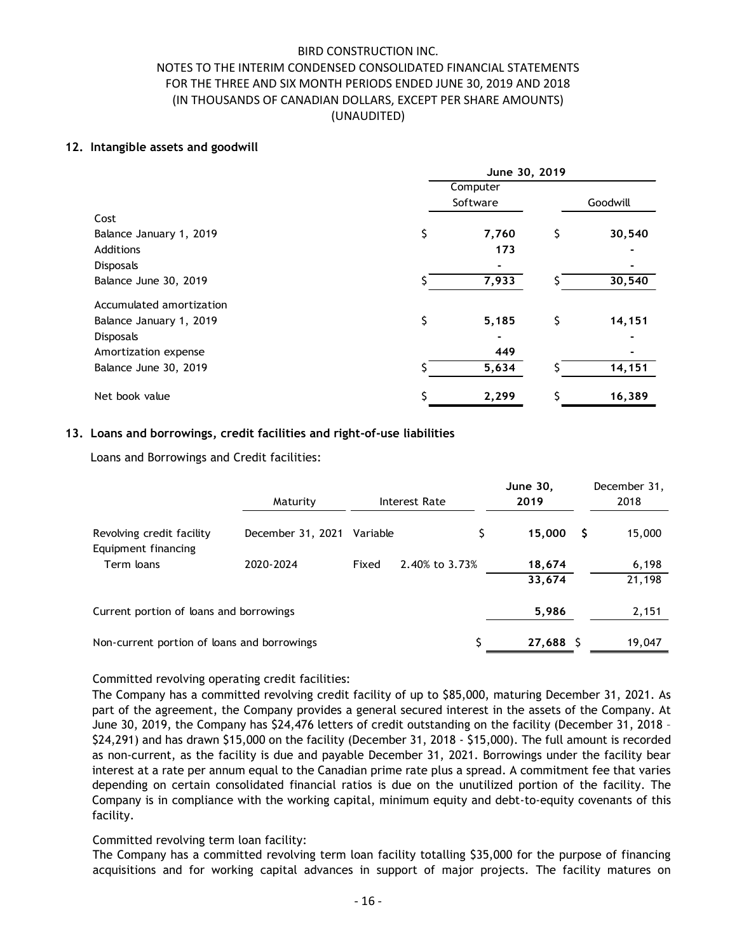### 12. Intangible assets and goodwill

|                                                                      | NOTES TO THE INTERIM CONDENSED CONSOLIDATED FINANCIAL STATEMENTS<br>FOR THE THREE AND SIX MONTH PERIODS ENDED JUNE 30, 2019 AND 2018<br>(IN THOUSANDS OF CANADIAN DOLLARS, EXCEPT PER SHARE AMOUNTS) | <b>BIRD CONSTRUCTION INC.</b><br>(UNAUDITED) |                |                      |                         |                      |
|----------------------------------------------------------------------|------------------------------------------------------------------------------------------------------------------------------------------------------------------------------------------------------|----------------------------------------------|----------------|----------------------|-------------------------|----------------------|
| ntangible assets and goodwill                                        |                                                                                                                                                                                                      |                                              |                |                      |                         |                      |
|                                                                      |                                                                                                                                                                                                      |                                              |                |                      | June 30, 2019           |                      |
|                                                                      |                                                                                                                                                                                                      |                                              |                | Computer<br>Software |                         | Goodwill             |
| Cost                                                                 |                                                                                                                                                                                                      |                                              |                |                      |                         |                      |
| Balance January 1, 2019<br>Additions                                 |                                                                                                                                                                                                      |                                              | \$             | 7,760                | \$<br>173               | 30,540               |
| Disposals<br>Balance June 30, 2019                                   |                                                                                                                                                                                                      |                                              |                | 7,933                |                         | 30,540               |
| Accumulated amortization                                             |                                                                                                                                                                                                      |                                              |                |                      |                         |                      |
| Balance January 1, 2019                                              |                                                                                                                                                                                                      |                                              | \$             | 5,185                | \$                      | 14,151               |
| Disposals<br>Amortization expense                                    |                                                                                                                                                                                                      |                                              |                |                      | 449                     |                      |
| Balance June 30, 2019                                                |                                                                                                                                                                                                      |                                              |                | 5,634                |                         | 14,151               |
| Net book value                                                       |                                                                                                                                                                                                      |                                              |                | 2,299                | S                       | 16,389               |
| Loans and borrowings, credit facilities and right-of-use liabilities |                                                                                                                                                                                                      |                                              |                |                      |                         |                      |
| Loans and Borrowings and Credit facilities:                          |                                                                                                                                                                                                      |                                              |                |                      |                         |                      |
|                                                                      | Maturity                                                                                                                                                                                             |                                              | Interest Rate  |                      | <b>June 30,</b><br>2019 | December 31,<br>2018 |
| Revolving credit facility                                            | December 31, 2021 Variable                                                                                                                                                                           |                                              |                | \$                   | $15,000$ \$             | 15,000               |
| Equipment financing                                                  |                                                                                                                                                                                                      |                                              |                |                      |                         |                      |
| Term loans                                                           | 2020-2024                                                                                                                                                                                            | Fixed                                        | 2.40% to 3.73% |                      | 18,674<br>33,674        | 6,198<br>21,198      |
|                                                                      |                                                                                                                                                                                                      |                                              |                |                      |                         |                      |
| Current portion of loans and borrowings                              |                                                                                                                                                                                                      |                                              |                |                      | 5 986                   | 2.151                |

## 13. Loans and borrowings, credit facilities and right-of-use liabilities

| <b>Disposals</b>                                                                                                    |                            |       |                      | 17 J            |      |              |
|---------------------------------------------------------------------------------------------------------------------|----------------------------|-------|----------------------|-----------------|------|--------------|
|                                                                                                                     |                            |       |                      |                 |      |              |
| Balance June 30, 2019                                                                                               |                            |       |                      | 7,933           |      | 30,540       |
| Accumulated amortization                                                                                            |                            |       |                      |                 |      |              |
| Balance January 1, 2019                                                                                             |                            |       | $\zeta$              | \$<br>5,185     |      | 14,151       |
| Disposals                                                                                                           |                            |       |                      |                 |      |              |
| Amortization expense                                                                                                |                            |       |                      | 449             |      |              |
| Balance June 30, 2019                                                                                               |                            |       |                      | 5,634           |      | 14,151       |
| Net book value                                                                                                      |                            |       |                      | 2,299           |      | 16,389       |
| Loans and borrowings, credit facilities and right-of-use liabilities<br>Loans and Borrowings and Credit facilities: |                            |       |                      |                 |      |              |
|                                                                                                                     |                            |       |                      | <b>June 30,</b> |      | December 31, |
|                                                                                                                     | Maturity                   |       | <b>Interest Rate</b> | 2019            |      | 2018         |
| Revolving credit facility<br>Equipment financing                                                                    | December 31, 2021 Variable |       |                      | \$<br>15,000    | - \$ | 15,000       |
| Term loans                                                                                                          | 2020-2024                  | Fixed | 2.40% to 3.73%       | 18,674          |      | 6,198        |
|                                                                                                                     |                            |       |                      | 33,674          |      | 21,198       |
| Current portion of loans and borrowings                                                                             |                            |       |                      | 5,986           |      | 2,151        |
|                                                                                                                     |                            |       |                      | 27,688 \$       |      | 19,047       |

## Committed revolving operating credit facilities:

The Company has a committed revolving credit facility of up to \$85,000, maturing December 31, 2021. As part of the agreement, the Company provides a general secured interest in the assets of the Company. At June 30, 2019, the Company has \$24,476 letters of credit outstanding on the facility (December 31, 2018 – \$24,291) and has drawn \$15,000 on the facility (December 31, 2018 - \$15,000). The full amount is recorded as non-current, as the facility is due and payable December 31, 2021. Borrowings under the facility bear interest at a rate per annum equal to the Canadian prime rate plus a spread. A commitment fee that varies depending on certain consolidated financial ratios is due on the unutilized portion of the facility. The Company is in compliance with the working capital, minimum equity and debt-to-equity covenants of this facility.

## Committed revolving term loan facility:

The Company has a committed revolving term loan facility totalling \$35,000 for the purpose of financing acquisitions and for working capital advances in support of major projects. The facility matures on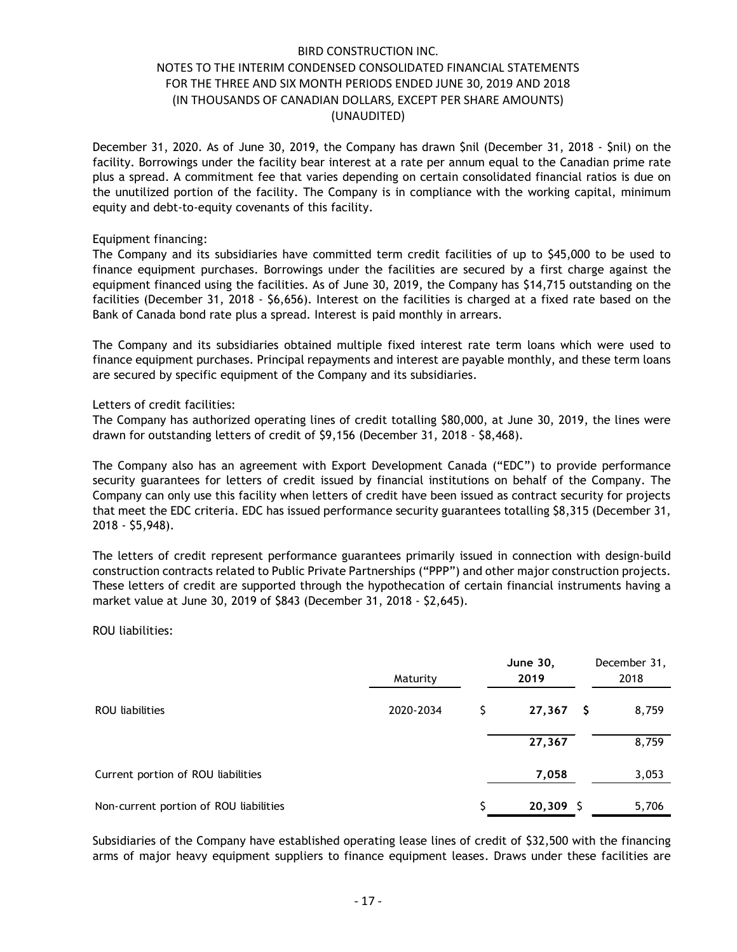December 31, 2020. As of June 30, 2019, the Company has drawn \$nil (December 31, 2018 - \$nil) on the facility. Borrowings under the facility bear interest at a rate per annum equal to the Canadian prime rate plus a spread. A commitment fee that varies depending on certain consolidated financial ratios is due on the unutilized portion of the facility. The Company is in compliance with the working capital, minimum equity and debt-to-equity covenants of this facility.

### Equipment financing:

The Company and its subsidiaries have committed term credit facilities of up to \$45,000 to be used to finance equipment purchases. Borrowings under the facilities are secured by a first charge against the equipment financed using the facilities. As of June 30, 2019, the Company has \$14,715 outstanding on the facilities (December 31, 2018 - \$6,656). Interest on the facilities is charged at a fixed rate based on the Bank of Canada bond rate plus a spread. Interest is paid monthly in arrears.

The Company and its subsidiaries obtained multiple fixed interest rate term loans which were used to finance equipment purchases. Principal repayments and interest are payable monthly, and these term loans are secured by specific equipment of the Company and its subsidiaries.

### Letters of credit facilities:

#### ROU liabilities:

| Letters of credit facilities:<br>The Company has authorized operating lines of credit totalling \$80,000, at June 30, 2019, the lines were<br>drawn for outstanding letters of credit of \$9,156 (December 31, 2018 - \$8,468).                                                                                                                                                                                                                                |           |    |                 |   |              |
|----------------------------------------------------------------------------------------------------------------------------------------------------------------------------------------------------------------------------------------------------------------------------------------------------------------------------------------------------------------------------------------------------------------------------------------------------------------|-----------|----|-----------------|---|--------------|
| The Company also has an agreement with Export Development Canada ("EDC") to provide performance<br>security guarantees for letters of credit issued by financial institutions on behalf of the Company. The<br>Company can only use this facility when letters of credit have been issued as contract security for projects<br>that meet the EDC criteria. EDC has issued performance security guarantees totalling \$8,315 (December 31,<br>$2018 - $5,948$ . |           |    |                 |   |              |
| The letters of credit represent performance guarantees primarily issued in connection with design-build<br>construction contracts related to Public Private Partnerships ("PPP") and other major construction projects.<br>These letters of credit are supported through the hypothecation of certain financial instruments having a<br>market value at June 30, 2019 of \$843 (December 31, 2018 - \$2,645).                                                  |           |    |                 |   |              |
| ROU liabilities:                                                                                                                                                                                                                                                                                                                                                                                                                                               |           |    |                 |   |              |
|                                                                                                                                                                                                                                                                                                                                                                                                                                                                |           |    | <b>June 30,</b> |   | December 31, |
|                                                                                                                                                                                                                                                                                                                                                                                                                                                                | Maturity  |    | 2019            |   | 2018         |
| ROU liabilities                                                                                                                                                                                                                                                                                                                                                                                                                                                | 2020-2034 | S. | 27,367          | S | 8,759        |
|                                                                                                                                                                                                                                                                                                                                                                                                                                                                |           |    | 27,367          |   | 8,759        |
| Current portion of ROU liabilities                                                                                                                                                                                                                                                                                                                                                                                                                             |           |    | 7,058           |   | 3,053        |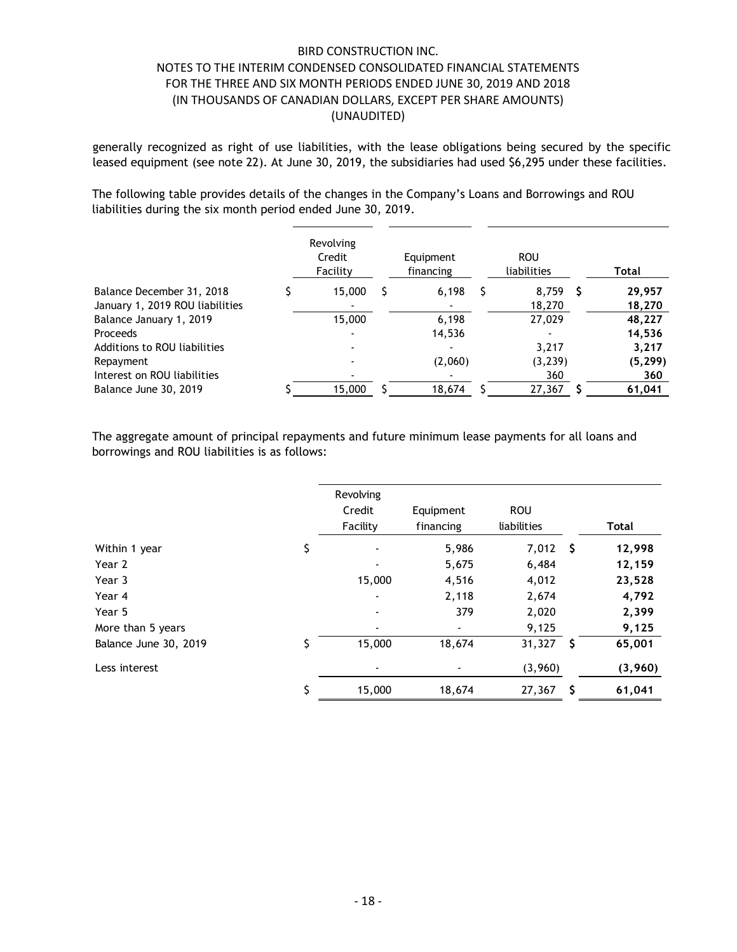|                                                                                                                                                                                                                           | <b>BIRD CONSTRUCTION INC.</b> |                |                        |    |                           |                  |
|---------------------------------------------------------------------------------------------------------------------------------------------------------------------------------------------------------------------------|-------------------------------|----------------|------------------------|----|---------------------------|------------------|
| NOTES TO THE INTERIM CONDENSED CONSOLIDATED FINANCIAL STATEMENTS                                                                                                                                                          |                               |                |                        |    |                           |                  |
| FOR THE THREE AND SIX MONTH PERIODS ENDED JUNE 30, 2019 AND 2018                                                                                                                                                          |                               |                |                        |    |                           |                  |
| (IN THOUSANDS OF CANADIAN DOLLARS, EXCEPT PER SHARE AMOUNTS)                                                                                                                                                              |                               |                |                        |    |                           |                  |
|                                                                                                                                                                                                                           | (UNAUDITED)                   |                |                        |    |                           |                  |
| generally recognized as right of use liabilities, with the lease obligations being secured by the specific<br>leased equipment (see note 22). At June 30, 2019, the subsidiaries had used \$6,295 under these facilities. |                               |                |                        |    |                           |                  |
| The following table provides details of the changes in the Company's Loans and Borrowings and ROU<br>liabilities during the six month period ended June 30, 2019.                                                         |                               |                |                        |    |                           |                  |
|                                                                                                                                                                                                                           | Revolving                     |                |                        |    |                           |                  |
|                                                                                                                                                                                                                           | Credit<br>Facility            |                | Equipment<br>financing |    | <b>ROU</b><br>liabilities | <b>Total</b>     |
| Balance December 31, 2018                                                                                                                                                                                                 | 15,000                        | -S             | 6,198                  | S. | $8,759$ \$                | 29,957           |
| January 1, 2019 ROU liabilities<br>Balance January 1, 2019                                                                                                                                                                | 15,000                        |                | 6,198                  |    | 18,270<br>27,029          | 18,270<br>48,227 |
| Proceeds                                                                                                                                                                                                                  |                               |                | 14,536                 |    |                           | 14,536           |
| Additions to ROU liabilities                                                                                                                                                                                              |                               |                |                        |    | 3,217                     | 3,217            |
| Repayment                                                                                                                                                                                                                 |                               |                | (2,060)                |    | (3, 239)                  | (5, 299)         |
| Interest on ROU liabilities                                                                                                                                                                                               |                               |                |                        |    | 360                       | 360              |
| Balance June 30, 2019                                                                                                                                                                                                     | 15,000                        | S              | 18,674                 |    | $27,367$ \$               | 61,041           |
| The aggregate amount of principal repayments and future minimum lease payments for all loans and<br>borrowings and ROU liabilities is as follows:                                                                         |                               |                |                        |    |                           |                  |
|                                                                                                                                                                                                                           | Revolving                     |                |                        |    |                           |                  |
|                                                                                                                                                                                                                           | Credit                        |                | Equipment              |    | <b>ROU</b>                |                  |
|                                                                                                                                                                                                                           | Facility                      |                | financing              |    | liabilities               | <b>Total</b>     |
| Within 1 year                                                                                                                                                                                                             | \$                            |                | 5,986                  |    | $7,012$ \$                | 12,998           |
| Year 2                                                                                                                                                                                                                    |                               | $\blacksquare$ | 5,675                  |    | 6,484                     | 12,159           |
| Year 3                                                                                                                                                                                                                    |                               | 15,000         | 4,516                  |    | 4,012                     | 23,528           |
| Year 4                                                                                                                                                                                                                    |                               |                | 2,118                  |    | 2,674                     | 4,792            |
| Year 5                                                                                                                                                                                                                    |                               |                | 379                    |    | 2,020                     | 2,399            |
| More than 5 years                                                                                                                                                                                                         |                               |                |                        |    | 9,125                     | 9,125            |
| D <sub>2</sub>                                                                                                                                                                                                            |                               | 15.000         | 10/71                  |    | 24227                     | 2501             |

|                                 |    | Facility            | financing      |    | liabilities | <b>Total</b> |
|---------------------------------|----|---------------------|----------------|----|-------------|--------------|
| Balance December 31, 2018       | S. | 15,000<br>$\sim$ \$ | $6,198$ \$     |    | $8,759$ \$  | 29,957       |
| January 1, 2019 ROU liabilities |    |                     |                |    | 18,270      | 18,270       |
| Balance January 1, 2019         |    | 15,000              | 6,198          |    | 27,029      | 48,227       |
| Proceeds                        |    |                     | 14,536         |    |             | 14,536       |
| Additions to ROU liabilities    |    |                     |                |    | 3,217       | 3,217        |
| Repayment                       |    |                     | (2,060)        |    | (3, 239)    | (5, 299)     |
| Interest on ROU liabilities     |    |                     |                |    | 360         | 360          |
| Balance June 30, 2019           |    | 15,000<br>-S        | 18,674         | -S | $27,367$ \$ | 61,041       |
|                                 |    | Revolving           |                |    |             |              |
|                                 |    | Credit              | Equipment      |    | <b>ROU</b>  |              |
|                                 |    | Facility            | financing      |    | liabilities | <b>Total</b> |
| Within 1 year                   | \$ |                     | 5,986          |    | $7,012$ \$  | 12,998       |
| Year 2                          |    |                     | 5,675          |    | 6,484       | 12,159       |
| Year 3                          |    | 15,000              | 4,516          |    | 4,012       | 23,528       |
| Year 4                          |    |                     | 2,118          |    | 2,674       | 4,792        |
| Year 5                          |    |                     | 379            |    | 2,020       | 2,399        |
| More than 5 years               |    | ۰                   |                |    | 9,125       | 9,125        |
| Balance June 30, 2019           | S. | 15,000              | 18,674         |    | $31,327$ \$ | 65,001       |
| Less interest                   |    | $\blacksquare$      | $\blacksquare$ |    | (3,960)     | (3,960)      |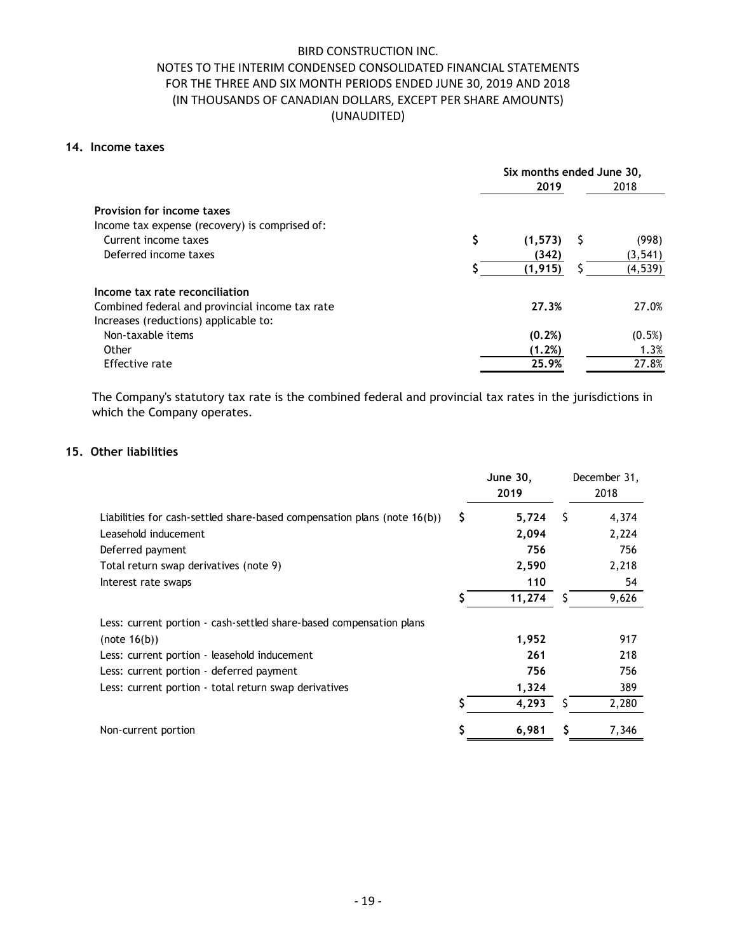## 14. Income taxes

| <b>BIRD CONSTRUCTION INC.</b><br>NOTES TO THE INTERIM CONDENSED CONSOLIDATED FINANCIAL STATEMENTS                                        |     |                                   |               |
|------------------------------------------------------------------------------------------------------------------------------------------|-----|-----------------------------------|---------------|
| FOR THE THREE AND SIX MONTH PERIODS ENDED JUNE 30, 2019 AND 2018                                                                         |     |                                   |               |
| (IN THOUSANDS OF CANADIAN DOLLARS, EXCEPT PER SHARE AMOUNTS)<br>(UNAUDITED)                                                              |     |                                   |               |
| ncome taxes                                                                                                                              |     |                                   |               |
|                                                                                                                                          |     | Six months ended June 30,<br>2019 | 2018          |
|                                                                                                                                          |     |                                   |               |
| <b>Provision for income taxes</b>                                                                                                        |     |                                   |               |
| Income tax expense (recovery) is comprised of:<br>Current income taxes                                                                   | \$  | $(1,573)$ \$                      | (998)         |
| Deferred income taxes                                                                                                                    |     | (342)                             | (3, 541)      |
|                                                                                                                                          |     | (1, 915)                          | (4, 539)      |
| Income tax rate reconciliation                                                                                                           |     |                                   |               |
| Combined federal and provincial income tax rate                                                                                          |     | 27.3%                             | 27.0%         |
| Increases (reductions) applicable to:                                                                                                    |     |                                   |               |
| Non-taxable items                                                                                                                        |     | (0.2%)                            | (0.5%)        |
| Other<br>Effective rate                                                                                                                  |     | (1.2%)<br>25.9%                   | 1.3%<br>27.8% |
|                                                                                                                                          |     |                                   |               |
| The Company's statutory tax rate is the combined federal and provincial tax rates in the jurisdictions in<br>which the Company operates. |     |                                   |               |
|                                                                                                                                          |     |                                   |               |
| Other liabilities                                                                                                                        |     |                                   | December 31,  |
|                                                                                                                                          |     | June 30,                          |               |
|                                                                                                                                          |     | 2019                              | 2018          |
| Liabilities for cash-settled share-based compensation plans (note 16(b))                                                                 | \$. | 5,724<br>$\sqrt{5}$               | 4,374         |
| Leasehold inducement                                                                                                                     |     | 2,094                             | 2,224         |
| Deferred payment                                                                                                                         |     | 756                               | 756           |
| Total return swap derivatives (note 9)                                                                                                   |     | 2,590                             | 2,218         |
| Interest rate swaps                                                                                                                      |     | 110<br>$\overline{1}$             | 54<br>0.121   |

### 15. Other liabilities

|    |                         |      | 27.0%                                                                                                                                           |
|----|-------------------------|------|-------------------------------------------------------------------------------------------------------------------------------------------------|
|    |                         |      |                                                                                                                                                 |
|    |                         |      | (0.5%)                                                                                                                                          |
|    |                         |      | 1.3%                                                                                                                                            |
|    |                         |      | 27.8%                                                                                                                                           |
|    |                         |      |                                                                                                                                                 |
|    |                         |      |                                                                                                                                                 |
|    | <b>June 30,</b><br>2019 |      | December 31,<br>2018                                                                                                                            |
| S. | 5,724                   | - \$ | 4,374                                                                                                                                           |
|    | 2,094                   |      | 2,224                                                                                                                                           |
|    | 756                     |      | 756                                                                                                                                             |
|    | 2,590                   |      | 2,218                                                                                                                                           |
|    | 110                     |      | 54                                                                                                                                              |
|    | 11,274                  | \$   | 9,626                                                                                                                                           |
|    |                         |      |                                                                                                                                                 |
|    | 1,952                   |      | 917                                                                                                                                             |
|    | 261                     |      | 218                                                                                                                                             |
|    | 756                     |      | 756                                                                                                                                             |
|    | 1,324                   |      | 389                                                                                                                                             |
|    |                         | \$.  | 2,280                                                                                                                                           |
|    | 4,293                   |      |                                                                                                                                                 |
|    |                         |      | 27.3%<br>(0.2%)<br>(1.2%)<br>25.9%<br>The Company's statutory tax rate is the combined federal and provincial tax rates in the jurisdictions in |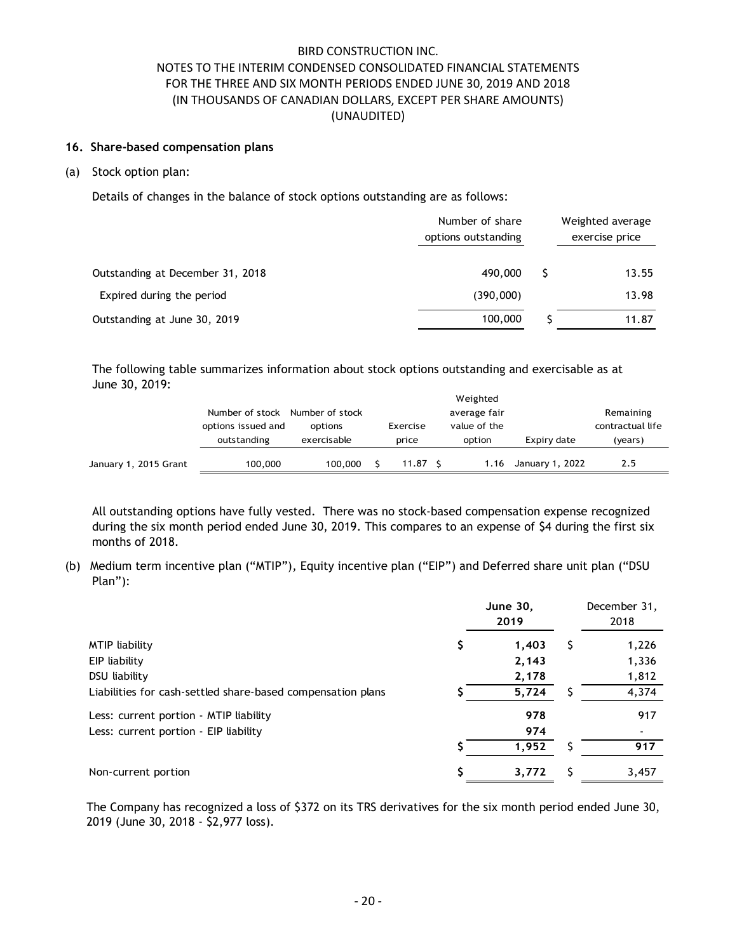## 16. Share-based compensation plans

#### (a) Stock option plan:

|                                                                                                                    | options issued and<br>outstanding                                                                                                                                                                    | options<br>exercisable        | Exercise<br>price | value of the<br>option                 | Expiry date | contractual life<br>(years)        |
|--------------------------------------------------------------------------------------------------------------------|------------------------------------------------------------------------------------------------------------------------------------------------------------------------------------------------------|-------------------------------|-------------------|----------------------------------------|-------------|------------------------------------|
| The following table summarizes information about stock options outstanding and exercisable as at<br>June 30, 2019: | Number of stock Number of stock                                                                                                                                                                      |                               |                   | Weighted<br>average fair               |             | Remaining                          |
| Outstanding at June 30, 2019                                                                                       |                                                                                                                                                                                                      |                               |                   | 100,000                                | S           | 11.87                              |
| Expired during the period                                                                                          |                                                                                                                                                                                                      |                               |                   | (390,000)                              |             | 13.98                              |
| Outstanding at December 31, 2018                                                                                   |                                                                                                                                                                                                      |                               |                   | 490,000                                | S           | 13.55                              |
|                                                                                                                    |                                                                                                                                                                                                      |                               |                   | Number of share<br>options outstanding |             | Weighted average<br>exercise price |
| Details of changes in the balance of stock options outstanding are as follows:                                     |                                                                                                                                                                                                      |                               |                   |                                        |             |                                    |
| Stock option plan:                                                                                                 |                                                                                                                                                                                                      |                               |                   |                                        |             |                                    |
| Share-based compensation plans                                                                                     |                                                                                                                                                                                                      |                               |                   |                                        |             |                                    |
|                                                                                                                    | NOTES TO THE INTERIM CONDENSED CONSOLIDATED FINANCIAL STATEMENTS<br>FOR THE THREE AND SIX MONTH PERIODS ENDED JUNE 30, 2019 AND 2018<br>(IN THOUSANDS OF CANADIAN DOLLARS, EXCEPT PER SHARE AMOUNTS) | <b>BIRD CONSTRUCTION INC.</b> | (UNAUDITED)       |                                        |             |                                    |

|                       |                    |                 |                    | Weighted     |                 |                  |  |
|-----------------------|--------------------|-----------------|--------------------|--------------|-----------------|------------------|--|
|                       | Number of stock    | Number of stock |                    | average fair | Remaining       |                  |  |
|                       | options issued and | options         | Exercise           | value of the |                 | contractual life |  |
|                       | outstanding        | exercisable     | price              | option       | Expiry date     | (years)          |  |
|                       |                    |                 |                    |              |                 |                  |  |
| January 1, 2015 Grant | 100,000            | 100,000         | 11.87 <sub>5</sub> | 1.16         | January 1, 2022 | 2.5              |  |

|                                                                                                                                     | Number of stock Number of stock<br>options issued and<br>outstanding | options<br>exercisable |    | Exercise<br>price  | Weighted<br>average fair<br>value of the<br>option | Expiry date          |     | Remaining<br>contractual life<br>(years)                                                            |
|-------------------------------------------------------------------------------------------------------------------------------------|----------------------------------------------------------------------|------------------------|----|--------------------|----------------------------------------------------|----------------------|-----|-----------------------------------------------------------------------------------------------------|
| January 1, 2015 Grant                                                                                                               | 100,000                                                              | 100,000                | S. | $11.87\frac{1}{2}$ |                                                    | 1.16 January 1, 2022 |     | 2.5                                                                                                 |
| during the six month period ended June 30, 2019. This compares to an expense of \$4 during the first six                            |                                                                      |                        |    |                    |                                                    |                      |     | All outstanding options have fully vested. There was no stock-based compensation expense recognized |
| months of 2018.<br>Medium term incentive plan ("MTIP"), Equity incentive plan ("EIP") and Deferred share unit plan ("DSU<br>Plan"): |                                                                      |                        |    |                    |                                                    |                      |     |                                                                                                     |
|                                                                                                                                     |                                                                      |                        |    |                    | <b>June 30,</b><br>2019                            |                      |     | December 31,<br>2018                                                                                |
| <b>MTIP</b> liability<br>EIP liability                                                                                              |                                                                      |                        |    |                    | \$                                                 | 1,403<br>2,143       | \$. | 1,226<br>1,336                                                                                      |
| DSU liability<br>Liabilities for cash-settled share-based compensation plans                                                        |                                                                      |                        |    |                    |                                                    | 2,178<br>5,724       | \$  | 1,812<br>4,374                                                                                      |
| Less: current portion - MTIP liability<br>Less: current portion - EIP liability                                                     |                                                                      |                        |    |                    |                                                    | 978<br>974<br>1,952  | \$. | 917<br>917                                                                                          |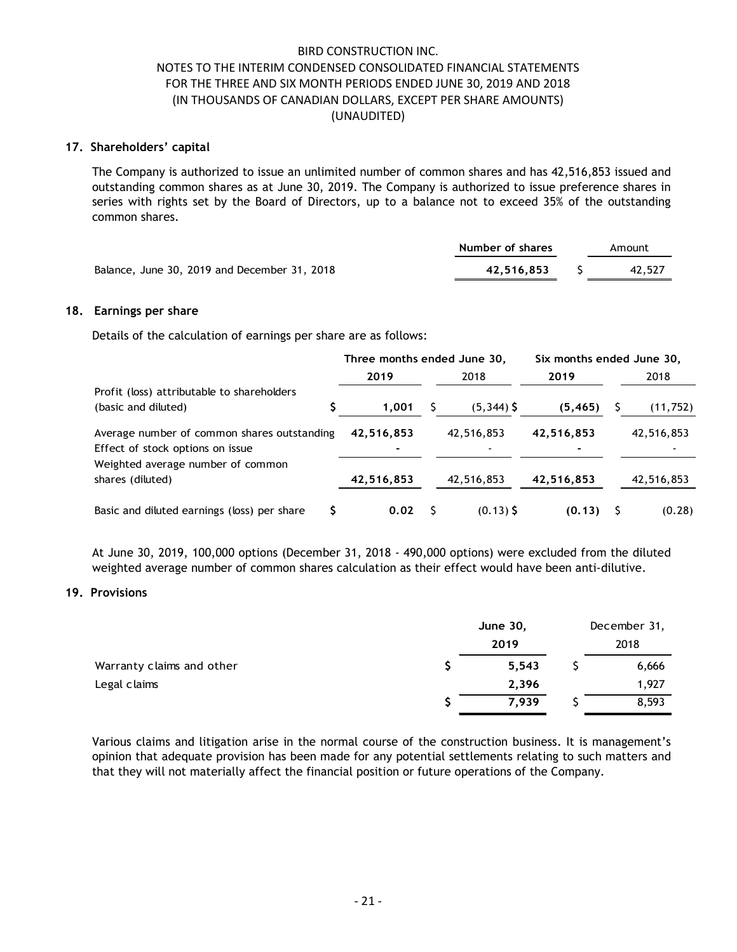### 17. Shareholders' capital

The Company is authorized to issue an unlimited number of common shares and has 42,516,853 issued and outstanding common shares as at June 30, 2019. The Company is authorized to issue preference shares in series with rights set by the Board of Directors, up to a balance not to exceed 35% of the outstanding common shares. BIRD CONSTRUCTION INC.<br>
FOR THE THREE AND SIX MONTH PERIODS ENDED JINNE 30, 2019 AND 2018<br>
(IN THOUSANDS OF CANADIAN COLLARS, EXCEPT PER SHARE AMOUNTS)<br>
(UNAUDITED)<br>
(UNAUDITED)<br>
Shareholders' capital<br>
The Company is autho

|                                              | Number of shares | Amount |  |
|----------------------------------------------|------------------|--------|--|
| Balance, June 30, 2019 and December 31, 2018 | 42.516.853       | 42,527 |  |

### 18. Earnings per share

|                                                                                                                                                                                                                                                                                                                                             |   | (UNAUDITED)                 |    | (IN THOUSANDS OF CANADIAN DOLLARS, EXCEPT PER SHARE AMOUNTS) |       |             |                           |
|---------------------------------------------------------------------------------------------------------------------------------------------------------------------------------------------------------------------------------------------------------------------------------------------------------------------------------------------|---|-----------------------------|----|--------------------------------------------------------------|-------|-------------|---------------------------|
| Shareholders' capital                                                                                                                                                                                                                                                                                                                       |   |                             |    |                                                              |       |             |                           |
| The Company is authorized to issue an unlimited number of common shares and has 42,516,853 issued and<br>outstanding common shares as at June 30, 2019. The Company is authorized to issue preference shares in<br>series with rights set by the Board of Directors, up to a balance not to exceed 35% of the outstanding<br>common shares. |   |                             |    |                                                              |       |             |                           |
|                                                                                                                                                                                                                                                                                                                                             |   |                             |    | Number of shares                                             |       |             | Amount                    |
| Balance, June 30, 2019 and December 31, 2018                                                                                                                                                                                                                                                                                                |   |                             |    | 42,516,853                                                   |       | S.          | 42,527                    |
| Earnings per share                                                                                                                                                                                                                                                                                                                          |   |                             |    |                                                              |       |             |                           |
| Details of the calculation of earnings per share are as follows:                                                                                                                                                                                                                                                                            |   |                             |    |                                                              |       |             |                           |
|                                                                                                                                                                                                                                                                                                                                             |   | Three months ended June 30, |    |                                                              |       |             | Six months ended June 30, |
| Profit (loss) attributable to shareholders                                                                                                                                                                                                                                                                                                  |   | 2019                        |    | 2018                                                         | 2019  |             | 2018                      |
| (basic and diluted)                                                                                                                                                                                                                                                                                                                         | Ş | 1,001                       |    | $(5, 344)$ \$                                                |       | (5, 465)    | (11, 752)                 |
| Average number of common shares outstanding<br>Effect of stock options on issue                                                                                                                                                                                                                                                             |   | 42,516,853                  |    | 42,516,853                                                   |       | 42,516,853  | 42,516,853                |
| Weighted average number of common<br>shares (diluted)                                                                                                                                                                                                                                                                                       |   | 42,516,853                  |    | 42,516,853                                                   |       | 42,516,853  | 42,516,853                |
| Basic and diluted earnings (loss) per share                                                                                                                                                                                                                                                                                                 | Ş | 0.02                        | -Ş | $(0.13)$ \$                                                  |       | $(0.13)$ \$ | (0.28)                    |
| At June 30, 2019, 100,000 options (December 31, 2018 - 490,000 options) were excluded from the diluted<br>weighted average number of common shares calculation as their effect would have been anti-dilutive.<br><b>Provisions</b>                                                                                                          |   |                             |    |                                                              |       |             |                           |
|                                                                                                                                                                                                                                                                                                                                             |   |                             |    |                                                              |       |             |                           |
|                                                                                                                                                                                                                                                                                                                                             |   |                             |    | June 30,<br>2019                                             |       |             | December 31,<br>2018      |
| Warranty claims and other                                                                                                                                                                                                                                                                                                                   |   |                             |    | \$                                                           | 5,543 | \$          | 6,666                     |
|                                                                                                                                                                                                                                                                                                                                             |   |                             |    |                                                              | 2,396 |             | 1,927                     |
| Legal claims                                                                                                                                                                                                                                                                                                                                |   |                             |    |                                                              | 7,939 |             | 8,593                     |

#### 19. Provisions

| <b>June 30,</b> | December 31, |
|-----------------|--------------|
| 2019            | 2018         |
| 5,543           | 6,666        |
| 2,396           | 1,927        |
| 7,939           | 8,593        |
|                 |              |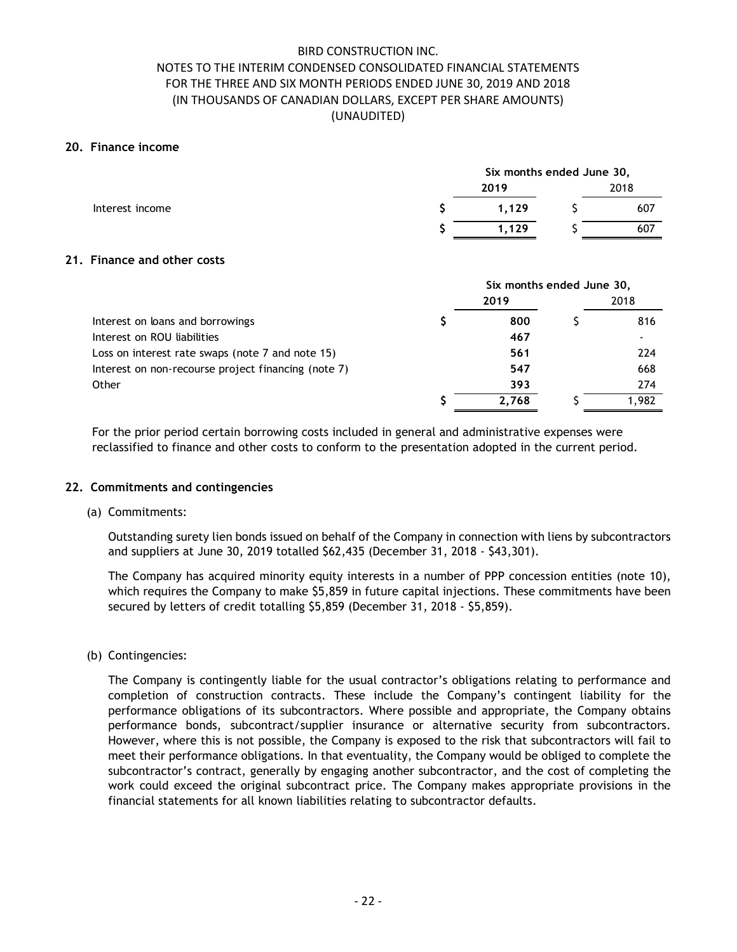### 20. Finance income

| NOTES TO THE INTERIM CONDENSED CONSOLIDATED FINANCIAL STATEMENTS<br>FOR THE THREE AND SIX MONTH PERIODS ENDED JUNE 30, 2019 AND 2018<br>(IN THOUSANDS OF CANADIAN DOLLARS, EXCEPT PER SHARE AMOUNTS)<br><b>Finance income</b> | <b>BIRD CONSTRUCTION INC.</b><br>(UNAUDITED) |                                   |    |      |
|-------------------------------------------------------------------------------------------------------------------------------------------------------------------------------------------------------------------------------|----------------------------------------------|-----------------------------------|----|------|
|                                                                                                                                                                                                                               |                                              |                                   |    |      |
|                                                                                                                                                                                                                               |                                              | Six months ended June 30,<br>2019 |    | 2018 |
| Interest income                                                                                                                                                                                                               |                                              | 1,129                             | \$ | 607  |
|                                                                                                                                                                                                                               |                                              | 1,129                             | ς  | 607  |
| Finance and other costs                                                                                                                                                                                                       |                                              |                                   |    |      |
|                                                                                                                                                                                                                               |                                              | Six months ended June 30,         |    |      |
|                                                                                                                                                                                                                               |                                              |                                   |    |      |

### 21. Finance and other costs

| FOR THE THREE AND SIX MONTH PERIODS ENDED JUNE 30, 2019 AND 2018<br>(IN THOUSANDS OF CANADIAN DOLLARS, EXCEPT PER SHARE AMOUNTS)<br>(UNAUDITED) |   |                           |   |             |
|-------------------------------------------------------------------------------------------------------------------------------------------------|---|---------------------------|---|-------------|
| ). Finance income                                                                                                                               |   |                           |   |             |
|                                                                                                                                                 |   | Six months ended June 30, |   |             |
| Interest income                                                                                                                                 | S | 2019<br>1,129             |   | 2018<br>607 |
|                                                                                                                                                 |   | 1,129                     |   | 607         |
| Finance and other costs                                                                                                                         |   |                           |   |             |
|                                                                                                                                                 |   | Six months ended June 30, |   |             |
| Interest on loans and borrowings                                                                                                                | S | 2019<br>800               | ς | 2018<br>816 |
| Interest on ROU liabilities                                                                                                                     |   | 467                       |   |             |
| Loss on interest rate swaps (note 7 and note 15)                                                                                                |   | 561                       |   | 224         |
| Interest on non-recourse project financing (note 7)                                                                                             |   | 547                       |   | 668         |
| Other                                                                                                                                           |   | 393                       |   | 274         |
|                                                                                                                                                 |   | 2,768                     |   | 1,982       |

## 22. Commitments and contingencies

#### (a) Commitments:

Outstanding surety lien bonds issued on behalf of the Company in connection with liens by subcontractors and suppliers at June 30, 2019 totalled \$62,435 (December 31, 2018 - \$43,301).

The Company has acquired minority equity interests in a number of PPP concession entities (note 10), which requires the Company to make \$5,859 in future capital injections. These commitments have been secured by letters of credit totalling \$5,859 (December 31, 2018 - \$5,859).

(b) Contingencies:

The Company is contingently liable for the usual contractor's obligations relating to performance and completion of construction contracts. These include the Company's contingent liability for the performance obligations of its subcontractors. Where possible and appropriate, the Company obtains performance bonds, subcontract/supplier insurance or alternative security from subcontractors. However, where this is not possible, the Company is exposed to the risk that subcontractors will fail to meet their performance obligations. In that eventuality, the Company would be obliged to complete the subcontractor's contract, generally by engaging another subcontractor, and the cost of completing the work could exceed the original subcontract price. The Company makes appropriate provisions in the financial statements for all known liabilities relating to subcontractor defaults.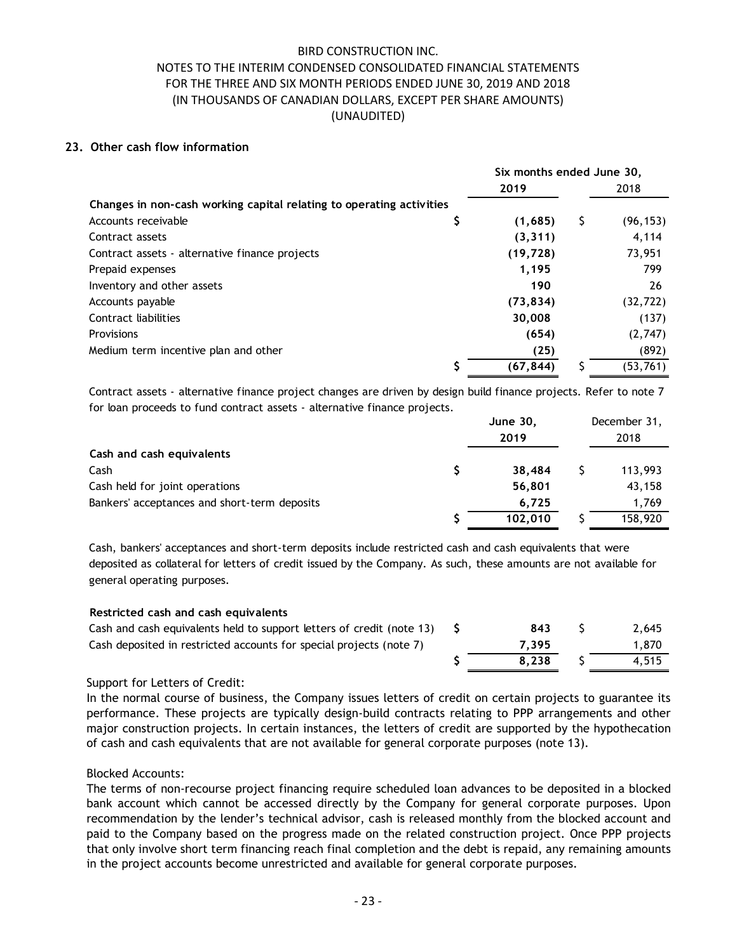### 23. Other cash flow information

| <b>BIRD CONSTRUCTION INC.</b><br>NOTES TO THE INTERIM CONDENSED CONSOLIDATED FINANCIAL STATEMENTS<br>FOR THE THREE AND SIX MONTH PERIODS ENDED JUNE 30, 2019 AND 2018<br>(IN THOUSANDS OF CANADIAN DOLLARS, EXCEPT PER SHARE AMOUNTS)<br>(UNAUDITED) |    |                           |                 |
|------------------------------------------------------------------------------------------------------------------------------------------------------------------------------------------------------------------------------------------------------|----|---------------------------|-----------------|
|                                                                                                                                                                                                                                                      |    |                           |                 |
|                                                                                                                                                                                                                                                      |    |                           |                 |
|                                                                                                                                                                                                                                                      |    |                           |                 |
|                                                                                                                                                                                                                                                      |    |                           |                 |
| Other cash flow information                                                                                                                                                                                                                          |    |                           |                 |
|                                                                                                                                                                                                                                                      |    |                           |                 |
|                                                                                                                                                                                                                                                      |    | Six months ended June 30, |                 |
|                                                                                                                                                                                                                                                      |    | 2019                      | 2018            |
| Changes in non-cash working capital relating to operating activities<br>Accounts receivable                                                                                                                                                          |    | (1,685)                   | \$<br>(96, 153) |
| Contract assets                                                                                                                                                                                                                                      | Ş  | (3, 311)                  | 4,114           |
| Contract assets - alternative finance projects                                                                                                                                                                                                       |    | (19, 728)                 | 73,951          |
| Prepaid expenses                                                                                                                                                                                                                                     |    | 1,195                     | 799             |
| Inventory and other assets                                                                                                                                                                                                                           |    | 190                       | 26              |
| Accounts payable                                                                                                                                                                                                                                     |    | (73, 834)                 | (32, 722)       |
| Contract liabilities                                                                                                                                                                                                                                 |    | 30,008                    | (137)           |
| <b>Provisions</b>                                                                                                                                                                                                                                    |    | (654)                     | (2,747)         |
| Medium term incentive plan and other                                                                                                                                                                                                                 |    | (25)                      | (892)           |
|                                                                                                                                                                                                                                                      |    | (67, 844)                 | (53, 761)       |
|                                                                                                                                                                                                                                                      |    |                           |                 |
| Contract assets - alternative finance project changes are driven by design build finance projects. Refer to note 7<br>for loan proceeds to fund contract assets - alternative finance projects.                                                      |    |                           |                 |
|                                                                                                                                                                                                                                                      |    | <b>June 30,</b>           | December 31,    |
|                                                                                                                                                                                                                                                      |    | 2019                      | 2018            |
| Cash and cash equivalents                                                                                                                                                                                                                            |    |                           |                 |
| Cash                                                                                                                                                                                                                                                 | \$ | 38,484                    | \$<br>113,993   |
| Cash held for joint operations                                                                                                                                                                                                                       |    | 56,801                    | 43,158          |
|                                                                                                                                                                                                                                                      |    | 6,725                     | 1,769           |
| Bankers' acceptances and short-term deposits                                                                                                                                                                                                         |    |                           |                 |

| Contract liabilities                                                                                               |    | 30,008           | (137)                |
|--------------------------------------------------------------------------------------------------------------------|----|------------------|----------------------|
| Provisions                                                                                                         |    | (654)            | (2,747)              |
| Medium term incentive plan and other                                                                               |    | (25)             | (892)                |
|                                                                                                                    |    | (67, 844)        | (53, 761)            |
| Contract assets - alternative finance project changes are driven by design build finance projects. Refer to note 7 |    |                  |                      |
| for loan proceeds to fund contract assets - alternative finance projects.                                          |    |                  |                      |
|                                                                                                                    |    | June 30,<br>2019 | December 31,<br>2018 |
| Cash and cash equivalents                                                                                          |    |                  |                      |
| Cash                                                                                                               |    | 38,484           | 113,993              |
| Cash held for joint operations                                                                                     |    | 56,801           | 43,158               |
| Bankers' acceptances and short-term deposits                                                                       |    | 6,725            | 1,769                |
|                                                                                                                    |    | 102,010          | 158,920              |
|                                                                                                                    |    |                  |                      |
| Cash, bankers' acceptances and short-term deposits include restricted cash and cash equivalents that were          |    |                  |                      |
| deposited as collateral for letters of credit issued by the Company. As such, these amounts are not available for  |    |                  |                      |
| general operating purposes.                                                                                        |    |                  |                      |
| Restricted cash and cash equivalents                                                                               |    |                  |                      |
| Cash and cash equivalents held to support letters of credit (note 13)                                              | S. | 843              | 2,645                |
| Cash deposited in restricted accounts for special projects (note 7)                                                |    | 7,395            | 1,870                |
|                                                                                                                    |    | 8,238            | 4,515                |
| Support for Letters of Credit:                                                                                     |    |                  |                      |
| In the normal course of business, the Company issues letters of credit on certain projects to guarantee its        |    |                  |                      |
| performance. These projects are typically design-build contracts relating to PPP arrangements and other            |    |                  |                      |
| major construction projects. In certain instances, the letters of credit are supported by the hypothecation        |    |                  |                      |
|                                                                                                                    |    |                  |                      |

#### Restricted cash and cash equivalents

| Cash and cash equivalents held to support letters of credit (note 13) | 843   | 2.645 |
|-----------------------------------------------------------------------|-------|-------|
| Cash deposited in restricted accounts for special projects (note 7)   | 7.395 | 1.870 |
|                                                                       | 8.238 | 4.515 |

## Support for Letters of Credit:

In the normal course of business, the Company issues letters of credit on certain projects to guarantee its performance. These projects are typically design-build contracts relating to PPP arrangements and other major construction projects. In certain instances, the letters of credit are supported by the hypothecation of cash and cash equivalents that are not available for general corporate purposes (note 13).

#### Blocked Accounts:

The terms of non-recourse project financing require scheduled loan advances to be deposited in a blocked bank account which cannot be accessed directly by the Company for general corporate purposes. Upon recommendation by the lender's technical advisor, cash is released monthly from the blocked account and paid to the Company based on the progress made on the related construction project. Once PPP projects that only involve short term financing reach final completion and the debt is repaid, any remaining amounts in the project accounts become unrestricted and available for general corporate purposes.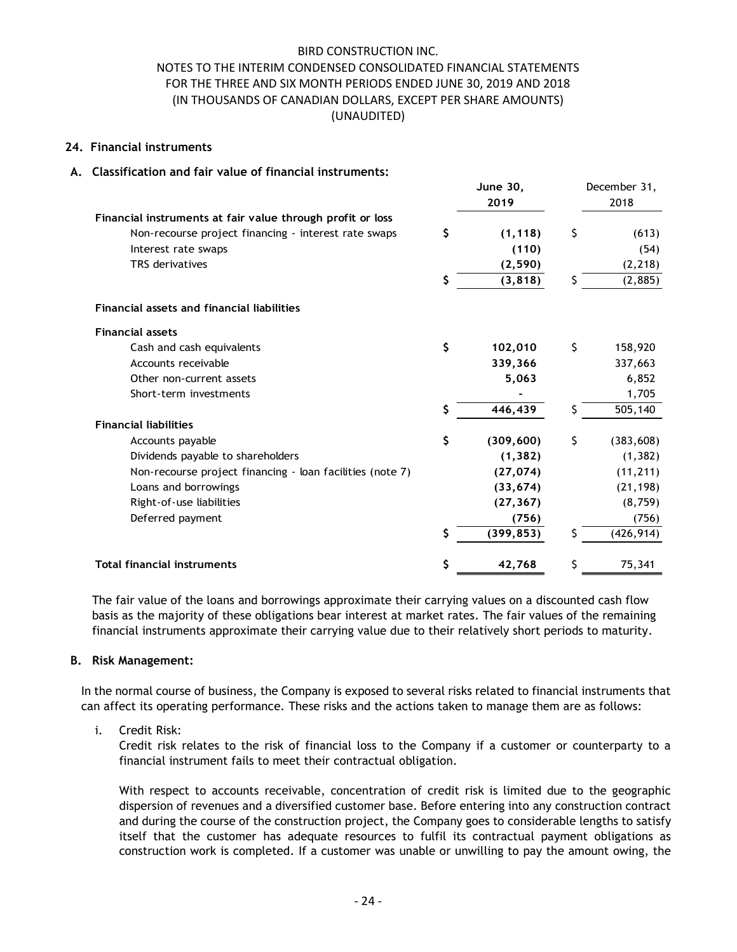### 24. Financial instruments

## A. Classification and fair value of financial instruments:

| (UNAUDITED)                                                |    | NOTES TO THE INTERIM CONDENSED CONSOLIDATED FINANCIAL STATEMENTS<br>FOR THE THREE AND SIX MONTH PERIODS ENDED JUNE 30, 2019 AND 2018<br>(IN THOUSANDS OF CANADIAN DOLLARS, EXCEPT PER SHARE AMOUNTS) |     |                  |
|------------------------------------------------------------|----|------------------------------------------------------------------------------------------------------------------------------------------------------------------------------------------------------|-----|------------------|
| <b>Financial instruments</b>                               |    |                                                                                                                                                                                                      |     |                  |
| Classification and fair value of financial instruments:    |    |                                                                                                                                                                                                      |     |                  |
|                                                            |    | <b>June 30,</b>                                                                                                                                                                                      |     | December 31,     |
|                                                            |    | 2019                                                                                                                                                                                                 |     | 2018             |
| Financial instruments at fair value through profit or loss |    |                                                                                                                                                                                                      |     |                  |
| Non-recourse project financing - interest rate swaps       | Ş. | (1, 118)                                                                                                                                                                                             | S   | (613)            |
| Interest rate swaps<br>TRS derivatives                     |    | (110)<br>(2, 590)                                                                                                                                                                                    |     | (54)<br>(2, 218) |
|                                                            | S  | (3, 818)                                                                                                                                                                                             | S   | (2,885)          |
|                                                            |    |                                                                                                                                                                                                      |     |                  |
| Financial assets and financial liabilities                 |    |                                                                                                                                                                                                      |     |                  |
| <b>Financial assets</b>                                    |    |                                                                                                                                                                                                      |     |                  |
| Cash and cash equivalents                                  | \$ | 102,010                                                                                                                                                                                              | \$. | 158,920          |
| Accounts receivable                                        |    | 339,366                                                                                                                                                                                              |     | 337,663          |
| Other non-current assets                                   |    | 5,063                                                                                                                                                                                                |     | 6,852            |
| Short-term investments                                     |    |                                                                                                                                                                                                      |     | 1,705            |
|                                                            | S  | 446,439                                                                                                                                                                                              | Ŝ   | 505,140          |
| <b>Financial liabilities</b>                               |    |                                                                                                                                                                                                      |     |                  |
| Accounts payable                                           | \$ | (309, 600)                                                                                                                                                                                           | \$  | (383, 608)       |
| Dividends pavable to shareholders                          |    | (1, 382)                                                                                                                                                                                             |     | (1, 382)         |
| Non-recourse project financing - loan facilities (note 7)  |    | (27, 074)                                                                                                                                                                                            |     | (11, 211)        |
| Loans and borrowings                                       |    | (33, 674)                                                                                                                                                                                            |     | (21, 198)        |
| Right-of-use liabilities                                   |    | (27, 367)                                                                                                                                                                                            |     | (8, 759)         |
| Deferred payment                                           |    | (756)                                                                                                                                                                                                |     | (756)            |
|                                                            | S  | (399, 853)                                                                                                                                                                                           | S   | (426, 914)       |
| <b>Total financial instruments</b>                         | S  | 42,768                                                                                                                                                                                               | \$  | 75,341           |

## B. Risk Management:

In the normal course of business, the Company is exposed to several risks related to financial instruments that can affect its operating performance. These risks and the actions taken to manage them are as follows:

i. Credit Risk:

Credit risk relates to the risk of financial loss to the Company if a customer or counterparty to a financial instrument fails to meet their contractual obligation.

With respect to accounts receivable, concentration of credit risk is limited due to the geographic dispersion of revenues and a diversified customer base. Before entering into any construction contract and during the course of the construction project, the Company goes to considerable lengths to satisfy itself that the customer has adequate resources to fulfil its contractual payment obligations as construction work is completed. If a customer was unable or unwilling to pay the amount owing, the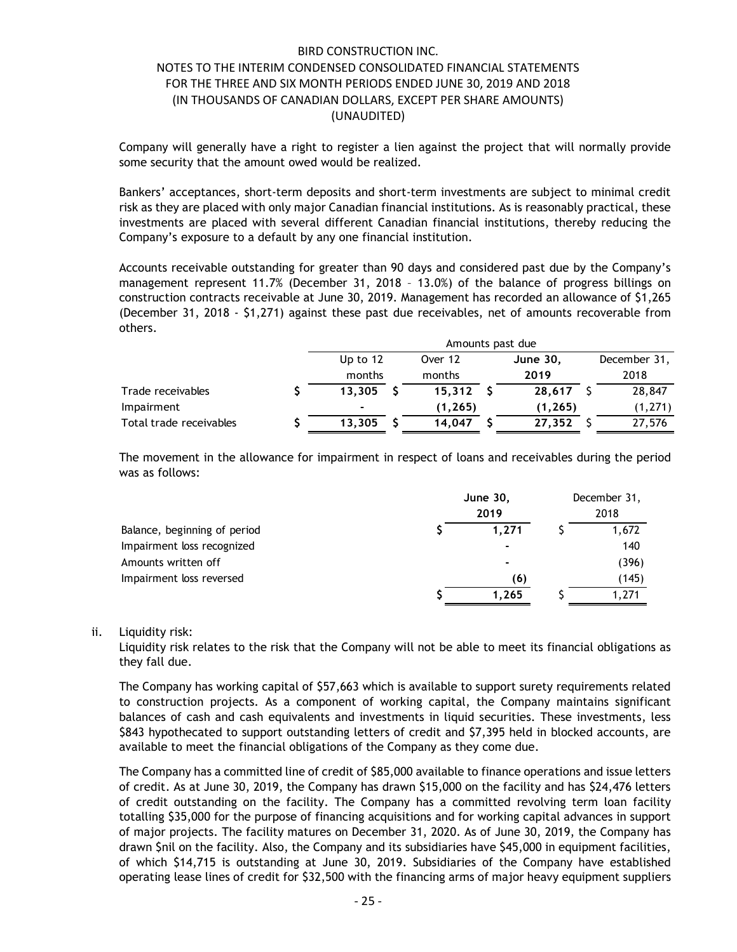| FOR THE THREE AND SIX MONTH PERIODS ENDED JUNE 30, 2019 AND 2018                                                                                                                                                                                                                                                                                                                                                                                                                                                                                                                                   |             |    |                  |                 |              |  |
|----------------------------------------------------------------------------------------------------------------------------------------------------------------------------------------------------------------------------------------------------------------------------------------------------------------------------------------------------------------------------------------------------------------------------------------------------------------------------------------------------------------------------------------------------------------------------------------------------|-------------|----|------------------|-----------------|--------------|--|
| (IN THOUSANDS OF CANADIAN DOLLARS, EXCEPT PER SHARE AMOUNTS)                                                                                                                                                                                                                                                                                                                                                                                                                                                                                                                                       | (UNAUDITED) |    |                  |                 |              |  |
| Company will generally have a right to register a lien against the project that will normally provide<br>some security that the amount owed would be realized.                                                                                                                                                                                                                                                                                                                                                                                                                                     |             |    |                  |                 |              |  |
| Bankers' acceptances, short-term deposits and short-term investments are subject to minimal credit<br>risk as they are placed with only major Canadian financial institutions. As is reasonably practical, these<br>investments are placed with several different Canadian financial institutions, thereby reducing the<br>Company's exposure to a default by any one financial institution.<br>Accounts receivable outstanding for greater than 90 days and considered past due by the Company's<br>management represent 11.7% (December 31, 2018 - 13.0%) of the balance of progress billings on |             |    |                  |                 |              |  |
| construction contracts receivable at June 30, 2019. Management has recorded an allowance of \$1,265<br>(December 31, 2018 - \$1,271) against these past due receivables, net of amounts recoverable from<br>others.                                                                                                                                                                                                                                                                                                                                                                                |             |    |                  |                 |              |  |
|                                                                                                                                                                                                                                                                                                                                                                                                                                                                                                                                                                                                    |             |    | Amounts past due |                 |              |  |
|                                                                                                                                                                                                                                                                                                                                                                                                                                                                                                                                                                                                    | Up to 12    |    | Over 12          | <b>June 30,</b> | December 31, |  |
|                                                                                                                                                                                                                                                                                                                                                                                                                                                                                                                                                                                                    | months      |    | months           | 2019            | 2018         |  |
| Trade receivables                                                                                                                                                                                                                                                                                                                                                                                                                                                                                                                                                                                  | 13,305      |    | $15,312$ \$      | $28,617$ \$     | 28,847       |  |
| Impairment                                                                                                                                                                                                                                                                                                                                                                                                                                                                                                                                                                                         |             |    | (1, 265)         | (1, 265)        | (1, 271)     |  |
|                                                                                                                                                                                                                                                                                                                                                                                                                                                                                                                                                                                                    | 13,305      | -S | $14,047$ \$      | $27,352$ \$     | 27,576       |  |
| Total trade receivables                                                                                                                                                                                                                                                                                                                                                                                                                                                                                                                                                                            |             |    |                  |                 |              |  |

| others.                                                                                            |             |                  |                 | (December 31, 2018 - \$1,271) against these past due receivables, net of amounts recoverable from |                |
|----------------------------------------------------------------------------------------------------|-------------|------------------|-----------------|---------------------------------------------------------------------------------------------------|----------------|
|                                                                                                    |             | Amounts past due |                 |                                                                                                   |                |
|                                                                                                    | Up to 12    | Over 12          |                 | <b>June 30,</b>                                                                                   | December 31,   |
|                                                                                                    | months      | months           |                 | 2019                                                                                              | 2018           |
| Trade receivables                                                                                  | $13,305$ \$ | $15,312$ \$      |                 | $28,617$ \$                                                                                       | 28,847         |
| Impairment                                                                                         |             | (1, 265)         |                 | (1, 265)                                                                                          | (1, 271)       |
| Total trade receivables                                                                            | $13,305$ \$ | $14,047$ \$      |                 | $27,352$ \$                                                                                       | 27,576         |
| The movement in the allowance for impairment in respect of loans and receivables during the period |             |                  |                 |                                                                                                   |                |
| was as follows:                                                                                    |             |                  | <b>June 30,</b> |                                                                                                   | December 31,   |
|                                                                                                    |             |                  | 2019            |                                                                                                   | 2018           |
| Balance, beginning of period                                                                       |             |                  | 1,271           |                                                                                                   | 1,672          |
| Impairment loss recognized                                                                         |             |                  |                 |                                                                                                   | 140            |
| Amounts written off                                                                                |             |                  |                 |                                                                                                   | (396)          |
| Impairment loss reversed                                                                           |             |                  |                 | (6)<br>1,265                                                                                      | (145)<br>1,271 |

#### ii. Liquidity risk:

The Company has working capital of \$57,663 which is available to support surety requirements related to construction projects. As a component of working capital, the Company maintains significant balances of cash and cash equivalents and investments in liquid securities. These investments, less \$843 hypothecated to support outstanding letters of credit and \$7,395 held in blocked accounts, are available to meet the financial obligations of the Company as they come due.

The Company has a committed line of credit of \$85,000 available to finance operations and issue letters of credit. As at June 30, 2019, the Company has drawn \$15,000 on the facility and has \$24,476 letters of credit outstanding on the facility. The Company has a committed revolving term loan facility totalling \$35,000 for the purpose of financing acquisitions and for working capital advances in support of major projects. The facility matures on December 31, 2020. As of June 30, 2019, the Company has drawn \$nil on the facility. Also, the Company and its subsidiaries have \$45,000 in equipment facilities, of which \$14,715 is outstanding at June 30, 2019. Subsidiaries of the Company have established operating lease lines of credit for \$32,500 with the financing arms of major heavy equipment suppliers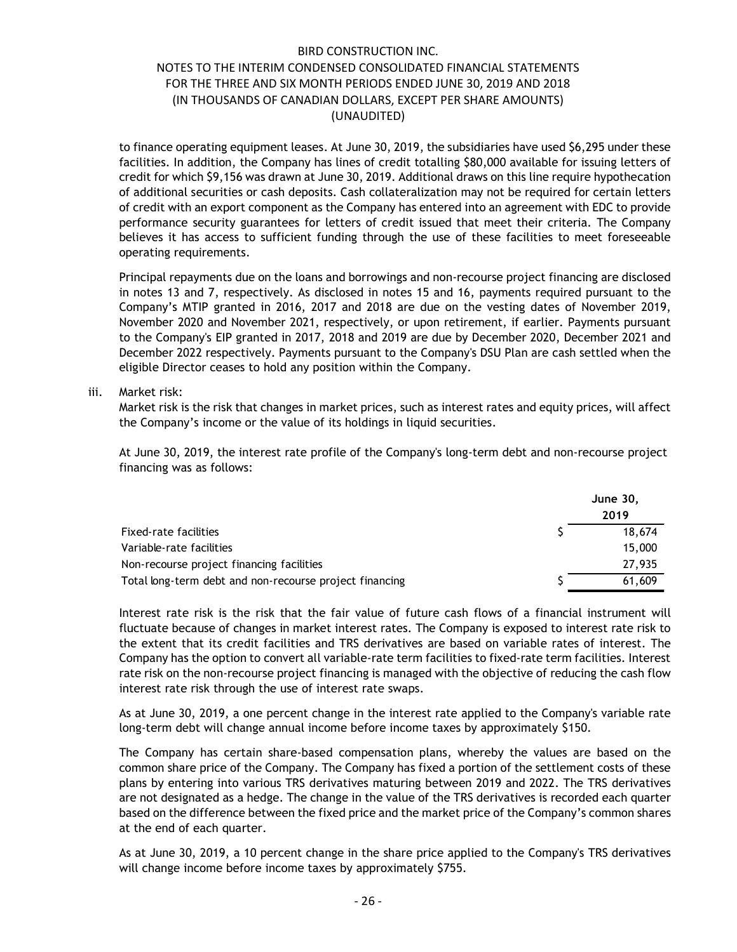to finance operating equipment leases. At June 30, 2019, the subsidiaries have used \$6,295 under these facilities. In addition, the Company has lines of credit totalling \$80,000 available for issuing letters of credit for which \$9,156 was drawn at June 30, 2019. Additional draws on this line require hypothecation of additional securities or cash deposits. Cash collateralization may not be required for certain letters of credit with an export component as the Company has entered into an agreement with EDC to provide performance security guarantees for letters of credit issued that meet their criteria. The Company believes it has access to sufficient funding through the use of these facilities to meet foreseeable operating requirements.

Principal repayments due on the loans and borrowings and non-recourse project financing are disclosed in notes 13 and 7, respectively. As disclosed in notes 15 and 16, payments required pursuant to the Company's MTIP granted in 2016, 2017 and 2018 are due on the vesting dates of November 2019, November 2020 and November 2021, respectively, or upon retirement, if earlier. Payments pursuant to the Company's EIP granted in 2017, 2018 and 2019 are due by December 2020, December 2021 and December 2022 respectively. Payments pursuant to the Company's DSU Plan are cash settled when the eligible Director ceases to hold any position within the Company. ereformance security guarantees for letters of credit issued that meet their criteria. The Company<br>peleives it has access to sufficient funding through the use of these facilities to met foreseable<br>perating requirements.<br> pperating requirements.<br>
Principal repayments due on the loans and borrowings and non-recourse project financing are disclosed<br>
In notes 13 and 7, respectively. As disclosed in notes 15 and 16, payments required pursuant Principal repayments due on the loans and borrowings and non-recourse project financing are disclosed<br>
In notes 13 and 7, respectively. As disclosed in notes 15 and 16, payments required pursuant to the<br>
Inompany's MTP gr

#### iii. Market risk:

Market risk is the risk that changes in market prices, such as interest rates and equity prices, will affect the Company's income or the value of its holdings in liquid securities.

At June 30, 2019, the interest rate profile of the Company's long-term debt and non-recourse project financing was as follows:

|                                                         | <b>June 30,</b> |        |
|---------------------------------------------------------|-----------------|--------|
|                                                         |                 | 2019   |
| Fixed-rate facilities                                   |                 | 18,674 |
| Variable-rate facilities                                |                 | 15,000 |
| Non-recourse project financing facilities               |                 | 27,935 |
| Total long-term debt and non-recourse project financing |                 | 61,609 |

Interest rate risk is the risk that the fair value of future cash flows of a financial instrument will fluctuate because of changes in market interest rates. The Company is exposed to interest rate risk to the extent that its credit facilities and TRS derivatives are based on variable rates of interest. The Company has the option to convert all variable-rate term facilities to fixed-rate term facilities. Interest rate risk on the non-recourse project financing is managed with the objective of reducing the cash flow interest rate risk through the use of interest rate swaps.

As at June 30, 2019, a one percent change in the interest rate applied to the Company's variable rate long-term debt will change annual income before income taxes by approximately \$150.

The Company has certain share-based compensation plans, whereby the values are based on the common share price of the Company. The Company has fixed a portion of the settlement costs of these plans by entering into various TRS derivatives maturing between 2019 and 2022. The TRS derivatives are not designated as a hedge. The change in the value of the TRS derivatives is recorded each quarter based on the difference between the fixed price and the market price of the Company's common shares at the end of each quarter.

As at June 30, 2019, a 10 percent change in the share price applied to the Company's TRS derivatives will change income before income taxes by approximately \$755.